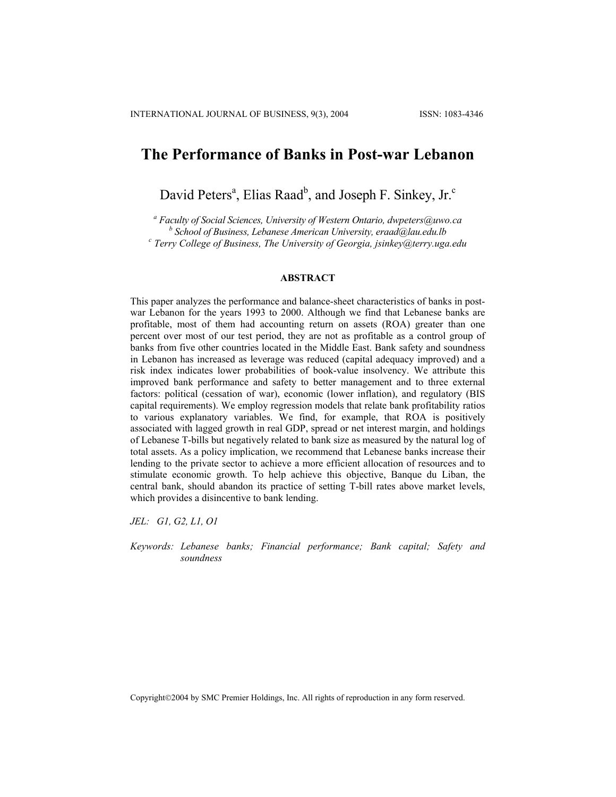# **The Performance of Banks in Post-war Lebanon**

David Peters<sup>a</sup>, Elias Raad<sup>b</sup>, and Joseph F. Sinkey, Jr.<sup>c</sup>

*a Faculty of Social Sciences, University of Western Ontario, dwpeters@uwo.ca b School of Business, Lebanese American University, eraad@lau.edu.lb <sup>c</sup> Terry College of Business, The University of Georgia, jsinkey@terry.uga.edu* 

#### **ABSTRACT**

This paper analyzes the performance and balance-sheet characteristics of banks in postwar Lebanon for the years 1993 to 2000. Although we find that Lebanese banks are profitable, most of them had accounting return on assets (ROA) greater than one percent over most of our test period, they are not as profitable as a control group of banks from five other countries located in the Middle East. Bank safety and soundness in Lebanon has increased as leverage was reduced (capital adequacy improved) and a risk index indicates lower probabilities of book-value insolvency. We attribute this improved bank performance and safety to better management and to three external factors: political (cessation of war), economic (lower inflation), and regulatory (BIS capital requirements). We employ regression models that relate bank profitability ratios to various explanatory variables. We find, for example, that ROA is positively associated with lagged growth in real GDP, spread or net interest margin, and holdings of Lebanese T-bills but negatively related to bank size as measured by the natural log of total assets. As a policy implication, we recommend that Lebanese banks increase their lending to the private sector to achieve a more efficient allocation of resources and to stimulate economic growth. To help achieve this objective, Banque du Liban, the central bank, should abandon its practice of setting T-bill rates above market levels, which provides a disincentive to bank lending.

*JEL: G1, G2, L1, O1* 

*Keywords: Lebanese banks; Financial performance; Bank capital; Safety and soundness* 

Copyright©2004 by SMC Premier Holdings, Inc. All rights of reproduction in any form reserved.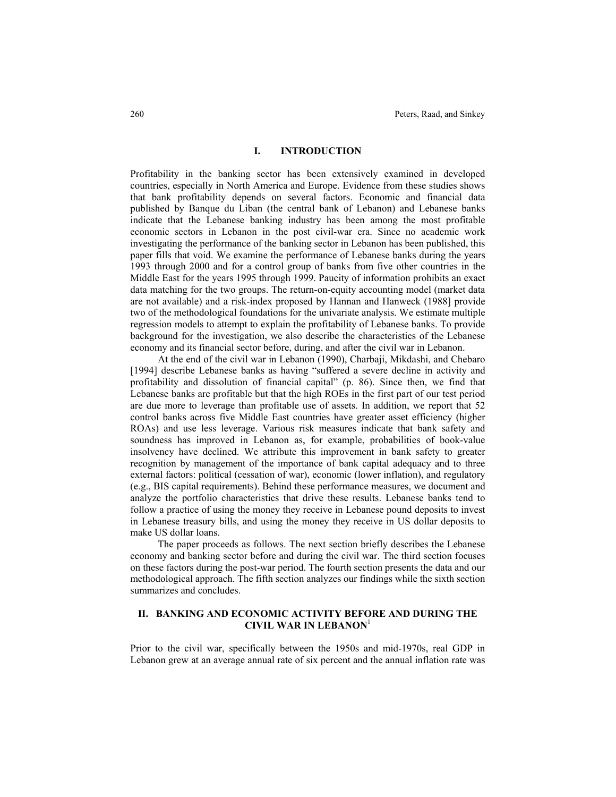### **I. INTRODUCTION**

Profitability in the banking sector has been extensively examined in developed countries, especially in North America and Europe. Evidence from these studies shows that bank profitability depends on several factors. Economic and financial data published by Banque du Liban (the central bank of Lebanon) and Lebanese banks indicate that the Lebanese banking industry has been among the most profitable economic sectors in Lebanon in the post civil-war era. Since no academic work investigating the performance of the banking sector in Lebanon has been published, this paper fills that void. We examine the performance of Lebanese banks during the years 1993 through 2000 and for a control group of banks from five other countries in the Middle East for the years 1995 through 1999. Paucity of information prohibits an exact data matching for the two groups. The return-on-equity accounting model (market data are not available) and a risk-index proposed by Hannan and Hanweck (1988] provide two of the methodological foundations for the univariate analysis. We estimate multiple regression models to attempt to explain the profitability of Lebanese banks. To provide background for the investigation, we also describe the characteristics of the Lebanese economy and its financial sector before, during, and after the civil war in Lebanon.

At the end of the civil war in Lebanon (1990), Charbaji, Mikdashi, and Chebaro [1994] describe Lebanese banks as having "suffered a severe decline in activity and profitability and dissolution of financial capital" (p. 86). Since then, we find that Lebanese banks are profitable but that the high ROEs in the first part of our test period are due more to leverage than profitable use of assets. In addition, we report that 52 control banks across five Middle East countries have greater asset efficiency (higher ROAs) and use less leverage. Various risk measures indicate that bank safety and soundness has improved in Lebanon as, for example, probabilities of book-value insolvency have declined. We attribute this improvement in bank safety to greater recognition by management of the importance of bank capital adequacy and to three external factors: political (cessation of war), economic (lower inflation), and regulatory (e.g., BIS capital requirements). Behind these performance measures, we document and analyze the portfolio characteristics that drive these results. Lebanese banks tend to follow a practice of using the money they receive in Lebanese pound deposits to invest in Lebanese treasury bills, and using the money they receive in US dollar deposits to make US dollar loans.

The paper proceeds as follows. The next section briefly describes the Lebanese economy and banking sector before and during the civil war. The third section focuses on these factors during the post-war period. The fourth section presents the data and our methodological approach. The fifth section analyzes our findings while the sixth section summarizes and concludes.

### **II. BANKING AND ECONOMIC ACTIVITY BEFORE AND DURING THE CIVIL WAR IN LEBANON**<sup>1</sup>

Prior to the civil war, specifically between the 1950s and mid-1970s, real GDP in Lebanon grew at an average annual rate of six percent and the annual inflation rate was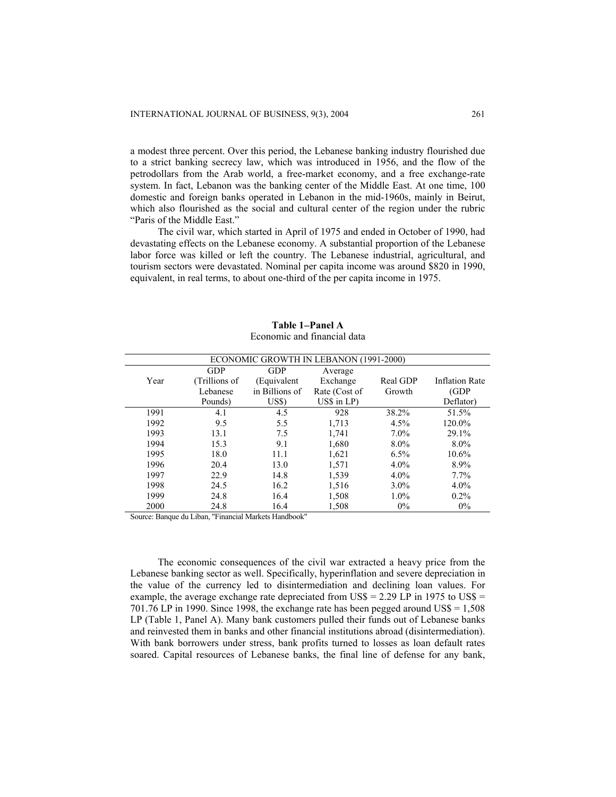a modest three percent. Over this period, the Lebanese banking industry flourished due to a strict banking secrecy law, which was introduced in 1956, and the flow of the petrodollars from the Arab world, a free-market economy, and a free exchange-rate system. In fact, Lebanon was the banking center of the Middle East. At one time, 100 domestic and foreign banks operated in Lebanon in the mid-1960s, mainly in Beirut, which also flourished as the social and cultural center of the region under the rubric "Paris of the Middle East."

The civil war, which started in April of 1975 and ended in October of 1990, had devastating effects on the Lebanese economy. A substantial proportion of the Lebanese labor force was killed or left the country. The Lebanese industrial, agricultural, and tourism sectors were devastated. Nominal per capita income was around \$820 in 1990, equivalent, in real terms, to about one-third of the per capita income in 1975.

|      |               |                | ECONOMIC GROWTH IN LEBANON (1991-2000) |          |                       |
|------|---------------|----------------|----------------------------------------|----------|-----------------------|
|      | GDP           | <b>GDP</b>     | Average                                |          |                       |
| Year | (Trillions of | (Equivalent    | Exchange                               | Real GDP | <b>Inflation Rate</b> |
|      | Lebanese      | in Billions of | Rate (Cost of                          | Growth   | (GDP)                 |
|      | Pounds)       | US\$)          | $US\$ in $LP$ )                        |          | Deflator)             |
| 1991 | 4.1           | 4.5            | 928                                    | 38.2%    | 51.5%                 |
| 1992 | 9.5           | 5.5            | 1,713                                  | 4.5%     | 120.0%                |
| 1993 | 13.1          | 7.5            | 1,741                                  | $7.0\%$  | 29.1%                 |
| 1994 | 15.3          | 9.1            | 1,680                                  | 8.0%     | $8.0\%$               |
| 1995 | 18.0          | 11.1           | 1,621                                  | $6.5\%$  | 10.6%                 |
| 1996 | 20.4          | 13.0           | 1,571                                  | 4.0%     | 8.9%                  |
| 1997 | 22.9          | 14.8           | 1,539                                  | $4.0\%$  | $7.7\%$               |
| 1998 | 24.5          | 16.2           | 1,516                                  | $3.0\%$  | 4.0%                  |
| 1999 | 24.8          | 16.4           | 1,508                                  | $1.0\%$  | $0.2\%$               |
| 2000 | 24.8          | 16.4           | 1,508                                  | $0\%$    | $0\%$                 |

**Table 1**−**Panel A**  Economic and financial data

Source: Banque du Liban, "Financial Markets Handbook"

The economic consequences of the civil war extracted a heavy price from the Lebanese banking sector as well. Specifically, hyperinflation and severe depreciation in the value of the currency led to disintermediation and declining loan values. For example, the average exchange rate depreciated from US\$ =  $2.29$  LP in 1975 to US\$ = 701.76 LP in 1990. Since 1998, the exchange rate has been pegged around  $USS = 1,508$ LP (Table 1, Panel A). Many bank customers pulled their funds out of Lebanese banks and reinvested them in banks and other financial institutions abroad (disintermediation). With bank borrowers under stress, bank profits turned to losses as loan default rates soared. Capital resources of Lebanese banks, the final line of defense for any bank,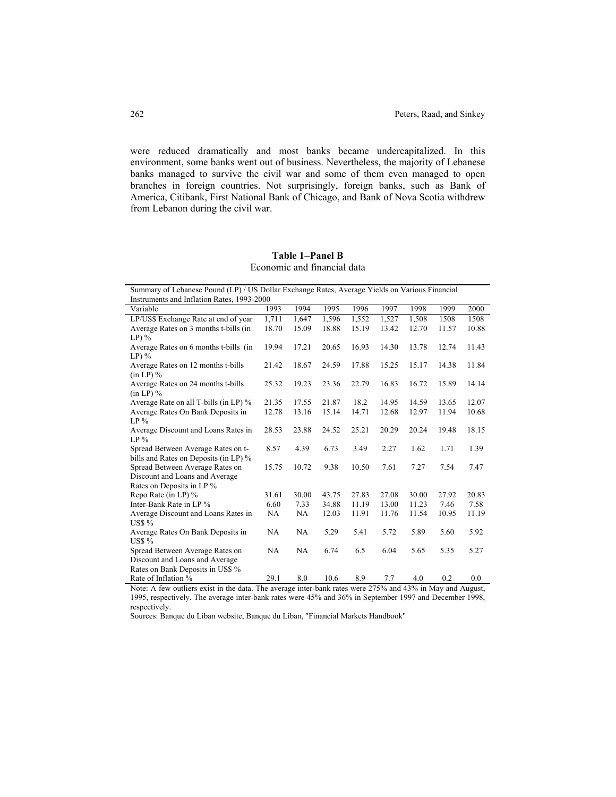were reduced dramatically and most banks became undercapitalized. In this environment, some banks went out of business. Nevertheless, the majority of Lebanese banks managed to survive the civil war and some of them even managed to open branches in foreign countries. Not surprisingly, foreign banks, such as Bank of America, Citibank, First National Bank of Chicago, and Bank of Nova Scotia withdrew from Lebanon during the civil war.

### **Table 1**−**Panel B**  Economic and financial data

| Summary of Lebanese Pound (LP) / US Dollar Exchange Rates, Average Yields on Various Financial |       |       |       |       |       |       |       |       |
|------------------------------------------------------------------------------------------------|-------|-------|-------|-------|-------|-------|-------|-------|
| Instruments and Inflation Rates, 1993-2000                                                     |       |       |       |       |       |       |       |       |
| Variable                                                                                       | 1993  | 1994  | 1995  | 1996  | 1997  | 1998  | 1999  | 2000  |
| LP/US\$ Exchange Rate at end of year                                                           | 1,711 | 1,647 | 1,596 | 1,552 | 1,527 | 1,508 | 1508  | 1508  |
| Average Rates on 3 months t-bills (in                                                          | 18.70 | 15.09 | 18.88 | 15.19 | 13.42 | 12.70 | 11.57 | 10.88 |
| $LP)$ %                                                                                        |       |       |       |       |       |       |       |       |
| Average Rates on 6 months t-bills (in                                                          | 19.94 | 17.21 | 20.65 | 16.93 | 14.30 | 13.78 | 12.74 | 11.43 |
| $LP)$ %                                                                                        |       |       |       |       |       |       |       |       |
| Average Rates on 12 months t-bills                                                             | 21.42 | 18.67 | 24.59 | 17.88 | 15.25 | 15.17 | 14.38 | 11.84 |
| $(in LP)$ %                                                                                    |       |       |       |       |       |       |       |       |
| Average Rates on 24 months t-bills                                                             | 25.32 | 19.23 | 23.36 | 22.79 | 16.83 | 16.72 | 15.89 | 14.14 |
| $(in LP)$ %                                                                                    |       |       |       |       |       |       |       |       |
| Average Rate on all T-bills (in LP) %                                                          | 21.35 | 17.55 | 21.87 | 18.2  | 14.95 | 14.59 | 13.65 | 12.07 |
| Average Rates On Bank Deposits in                                                              | 12.78 | 13.16 | 15.14 | 14.71 | 12.68 | 12.97 | 11.94 | 10.68 |
| $LP\%$                                                                                         |       |       |       |       |       |       |       |       |
| Average Discount and Loans Rates in                                                            | 28.53 | 23.88 | 24.52 | 25.21 | 20.29 | 20.24 | 19.48 | 18.15 |
| $LP\%$                                                                                         |       |       |       |       |       |       |       |       |
| Spread Between Average Rates on t-                                                             | 8.57  | 4.39  | 6.73  | 3.49  | 2.27  | 1.62  | 1.71  | 1.39  |
| bills and Rates on Deposits (in LP) %                                                          |       |       |       |       |       |       |       |       |
| Spread Between Average Rates on                                                                | 15.75 | 10.72 | 9.38  | 10.50 | 7.61  | 7.27  | 7.54  | 7.47  |
| Discount and Loans and Average                                                                 |       |       |       |       |       |       |       |       |
| Rates on Deposits in LP %                                                                      |       |       |       |       |       |       |       |       |
| Repo Rate (in LP) %                                                                            | 31.61 | 30.00 | 43.75 | 27.83 | 27.08 | 30.00 | 27.92 | 20.83 |
| Inter-Bank Rate in LP %                                                                        | 6.60  | 7.33  | 34.88 | 11.19 | 13.00 | 11.23 | 7.46  | 7.58  |
| Average Discount and Loans Rates in                                                            | NA    | NA    | 12.03 | 11.91 | 11.76 | 11.54 | 10.95 | 11.19 |
| US\$ %                                                                                         |       |       |       |       |       |       |       |       |
| Average Rates On Bank Deposits in                                                              | NA    | NA    | 5.29  | 5.41  | 5.72  | 5.89  | 5.60  | 5.92  |
| US\$ %                                                                                         |       |       |       |       |       |       |       |       |
| Spread Between Average Rates on                                                                | NA    | NA    | 6.74  | 6.5   | 6.04  | 5.65  | 5.35  | 5.27  |
| Discount and Loans and Average                                                                 |       |       |       |       |       |       |       |       |
| Rates on Bank Deposits in US\$ %                                                               |       |       |       |       |       |       |       |       |
| Rate of Inflation %                                                                            | 29.1  | 8.0   | 10.6  | 8.9   | 7.7   | 4.0   | 0.2   | 0.0   |

Note: A few outliers exist in the data. The average inter-bank rates were 275% and 43% in May and August, 1995, respectively. The average inter-bank rates were 45% and 36% in September 1997 and December 1998, respectively.

Sources: Banque du Liban website, Banque du Liban, "Financial Markets Handbook"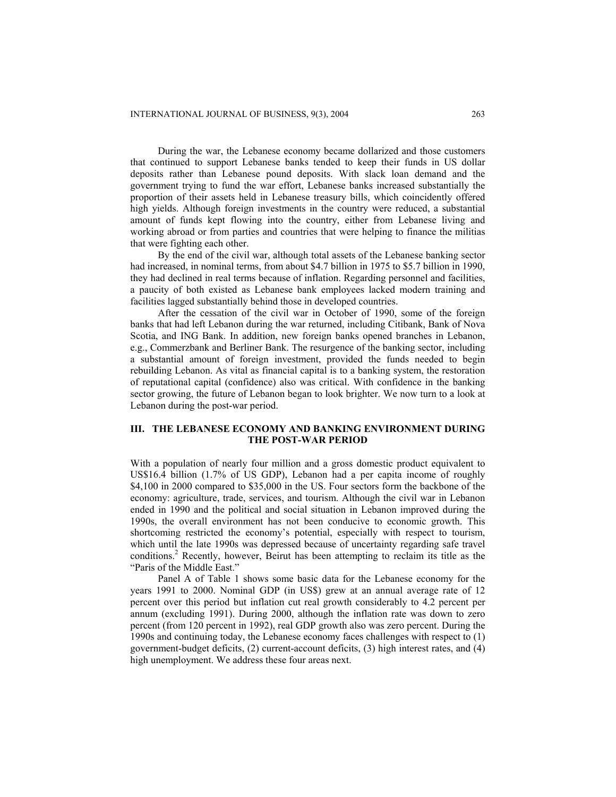During the war, the Lebanese economy became dollarized and those customers that continued to support Lebanese banks tended to keep their funds in US dollar deposits rather than Lebanese pound deposits. With slack loan demand and the government trying to fund the war effort, Lebanese banks increased substantially the proportion of their assets held in Lebanese treasury bills, which coincidently offered high yields. Although foreign investments in the country were reduced, a substantial amount of funds kept flowing into the country, either from Lebanese living and working abroad or from parties and countries that were helping to finance the militias that were fighting each other.

By the end of the civil war, although total assets of the Lebanese banking sector had increased, in nominal terms, from about \$4.7 billion in 1975 to \$5.7 billion in 1990, they had declined in real terms because of inflation. Regarding personnel and facilities, a paucity of both existed as Lebanese bank employees lacked modern training and facilities lagged substantially behind those in developed countries.

After the cessation of the civil war in October of 1990, some of the foreign banks that had left Lebanon during the war returned, including Citibank, Bank of Nova Scotia, and ING Bank. In addition, new foreign banks opened branches in Lebanon, e.g., Commerzbank and Berliner Bank. The resurgence of the banking sector, including a substantial amount of foreign investment, provided the funds needed to begin rebuilding Lebanon. As vital as financial capital is to a banking system, the restoration of reputational capital (confidence) also was critical. With confidence in the banking sector growing, the future of Lebanon began to look brighter. We now turn to a look at Lebanon during the post-war period.

### **III. THE LEBANESE ECONOMY AND BANKING ENVIRONMENT DURING THE POST-WAR PERIOD**

With a population of nearly four million and a gross domestic product equivalent to US\$16.4 billion (1.7% of US GDP), Lebanon had a per capita income of roughly \$4,100 in 2000 compared to \$35,000 in the US. Four sectors form the backbone of the economy: agriculture, trade, services, and tourism. Although the civil war in Lebanon ended in 1990 and the political and social situation in Lebanon improved during the 1990s, the overall environment has not been conducive to economic growth. This shortcoming restricted the economy's potential, especially with respect to tourism, which until the late 1990s was depressed because of uncertainty regarding safe travel conditions.<sup>2</sup> Recently, however, Beirut has been attempting to reclaim its title as the "Paris of the Middle East."

Panel A of Table 1 shows some basic data for the Lebanese economy for the years 1991 to 2000. Nominal GDP (in US\$) grew at an annual average rate of 12 percent over this period but inflation cut real growth considerably to 4.2 percent per annum (excluding 1991). During 2000, although the inflation rate was down to zero percent (from 120 percent in 1992), real GDP growth also was zero percent. During the 1990s and continuing today, the Lebanese economy faces challenges with respect to (1) government-budget deficits, (2) current-account deficits, (3) high interest rates, and (4) high unemployment. We address these four areas next.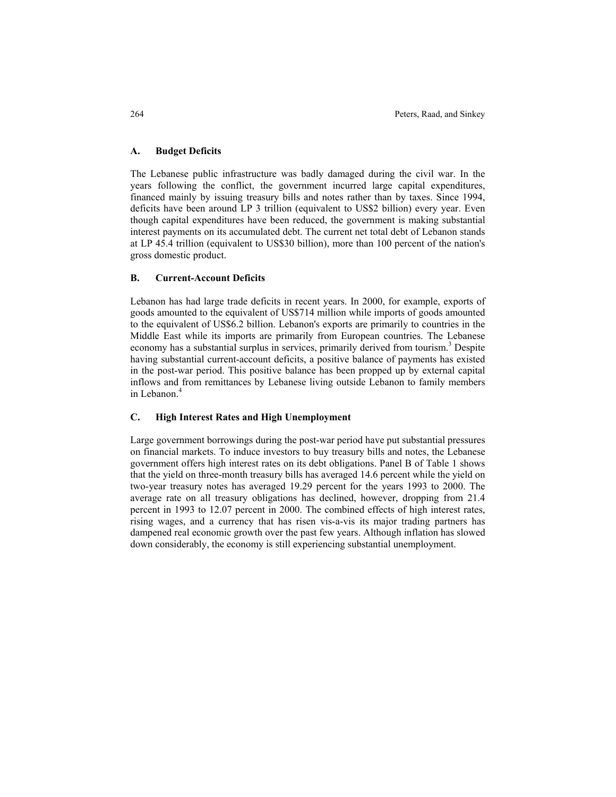### **A. Budget Deficits**

The Lebanese public infrastructure was badly damaged during the civil war. In the years following the conflict, the government incurred large capital expenditures, financed mainly by issuing treasury bills and notes rather than by taxes. Since 1994, deficits have been around LP 3 trillion (equivalent to US\$2 billion) every year. Even though capital expenditures have been reduced, the government is making substantial interest payments on its accumulated debt. The current net total debt of Lebanon stands at LP 45.4 trillion (equivalent to US\$30 billion), more than 100 percent of the nation's gross domestic product.

#### **B. Current-Account Deficits**

Lebanon has had large trade deficits in recent years. In 2000, for example, exports of goods amounted to the equivalent of US\$714 million while imports of goods amounted to the equivalent of US\$6.2 billion. Lebanon's exports are primarily to countries in the Middle East while its imports are primarily from European countries. The Lebanese economy has a substantial surplus in services, primarily derived from tourism.<sup>3</sup> Despite having substantial current-account deficits, a positive balance of payments has existed in the post-war period. This positive balance has been propped up by external capital inflows and from remittances by Lebanese living outside Lebanon to family members in Lebanon.<sup>4</sup>

### **C. High Interest Rates and High Unemployment**

Large government borrowings during the post-war period have put substantial pressures on financial markets. To induce investors to buy treasury bills and notes, the Lebanese government offers high interest rates on its debt obligations. Panel B of Table 1 shows that the yield on three-month treasury bills has averaged 14.6 percent while the yield on two-year treasury notes has averaged 19.29 percent for the years 1993 to 2000. The average rate on all treasury obligations has declined, however, dropping from 21.4 percent in 1993 to 12.07 percent in 2000. The combined effects of high interest rates, rising wages, and a currency that has risen vis-a-vis its major trading partners has dampened real economic growth over the past few years. Although inflation has slowed down considerably, the economy is still experiencing substantial unemployment.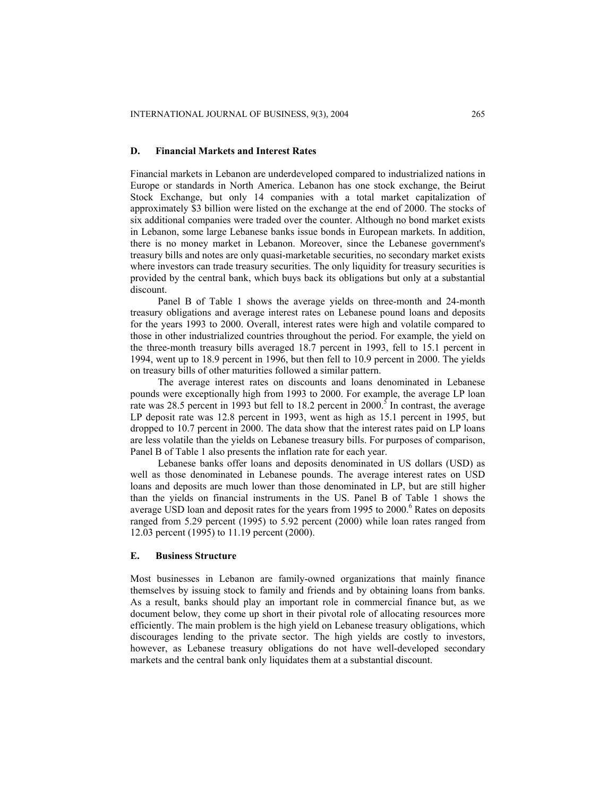#### **D. Financial Markets and Interest Rates**

Financial markets in Lebanon are underdeveloped compared to industrialized nations in Europe or standards in North America. Lebanon has one stock exchange, the Beirut Stock Exchange, but only 14 companies with a total market capitalization of approximately \$3 billion were listed on the exchange at the end of 2000. The stocks of six additional companies were traded over the counter. Although no bond market exists in Lebanon, some large Lebanese banks issue bonds in European markets. In addition, there is no money market in Lebanon. Moreover, since the Lebanese government's treasury bills and notes are only quasi-marketable securities, no secondary market exists where investors can trade treasury securities. The only liquidity for treasury securities is provided by the central bank, which buys back its obligations but only at a substantial discount.

Panel B of Table 1 shows the average yields on three-month and 24-month treasury obligations and average interest rates on Lebanese pound loans and deposits for the years 1993 to 2000. Overall, interest rates were high and volatile compared to those in other industrialized countries throughout the period. For example, the yield on the three-month treasury bills averaged 18.7 percent in 1993, fell to 15.1 percent in 1994, went up to 18.9 percent in 1996, but then fell to 10.9 percent in 2000. The yields on treasury bills of other maturities followed a similar pattern.

The average interest rates on discounts and loans denominated in Lebanese pounds were exceptionally high from 1993 to 2000. For example, the average LP loan rate was 28.5 percent in 1993 but fell to 18.2 percent in 2000.<sup>5</sup> In contrast, the average LP deposit rate was 12.8 percent in 1993, went as high as 15.1 percent in 1995, but dropped to 10.7 percent in 2000. The data show that the interest rates paid on LP loans are less volatile than the yields on Lebanese treasury bills. For purposes of comparison, Panel B of Table 1 also presents the inflation rate for each year.

Lebanese banks offer loans and deposits denominated in US dollars (USD) as well as those denominated in Lebanese pounds. The average interest rates on USD loans and deposits are much lower than those denominated in LP, but are still higher than the yields on financial instruments in the US. Panel B of Table 1 shows the average USD loan and deposit rates for the years from 1995 to  $2000$ .<sup>6</sup> Rates on deposits ranged from 5.29 percent (1995) to 5.92 percent (2000) while loan rates ranged from 12.03 percent (1995) to 11.19 percent (2000).

#### **E. Business Structure**

Most businesses in Lebanon are family-owned organizations that mainly finance themselves by issuing stock to family and friends and by obtaining loans from banks. As a result, banks should play an important role in commercial finance but, as we document below, they come up short in their pivotal role of allocating resources more efficiently. The main problem is the high yield on Lebanese treasury obligations, which discourages lending to the private sector. The high yields are costly to investors, however, as Lebanese treasury obligations do not have well-developed secondary markets and the central bank only liquidates them at a substantial discount.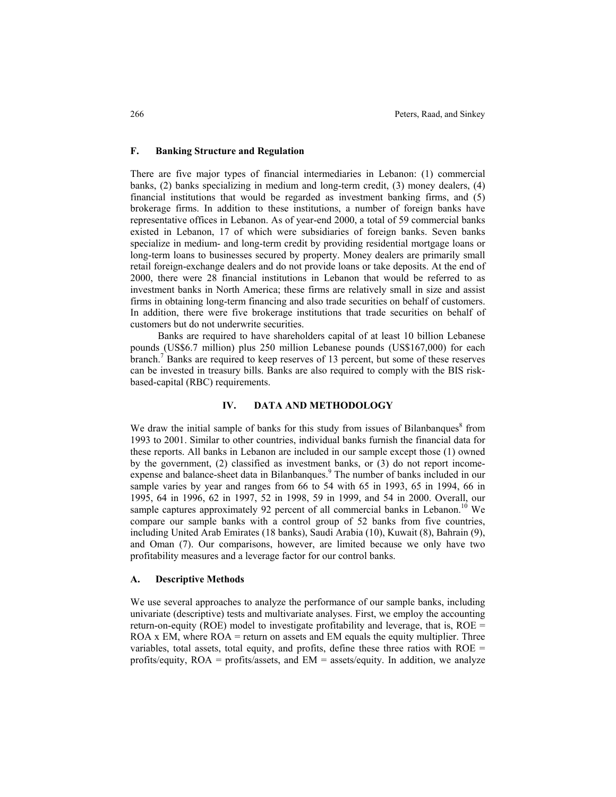### **F. Banking Structure and Regulation**

There are five major types of financial intermediaries in Lebanon: (1) commercial banks, (2) banks specializing in medium and long-term credit, (3) money dealers, (4) financial institutions that would be regarded as investment banking firms, and (5) brokerage firms. In addition to these institutions, a number of foreign banks have representative offices in Lebanon. As of year-end 2000, a total of 59 commercial banks existed in Lebanon, 17 of which were subsidiaries of foreign banks. Seven banks specialize in medium- and long-term credit by providing residential mortgage loans or long-term loans to businesses secured by property. Money dealers are primarily small retail foreign-exchange dealers and do not provide loans or take deposits. At the end of 2000, there were 28 financial institutions in Lebanon that would be referred to as investment banks in North America; these firms are relatively small in size and assist firms in obtaining long-term financing and also trade securities on behalf of customers. In addition, there were five brokerage institutions that trade securities on behalf of customers but do not underwrite securities.

Banks are required to have shareholders capital of at least 10 billion Lebanese pounds (US\$6.7 million) plus 250 million Lebanese pounds (US\$167,000) for each branch.<sup>7</sup> Banks are required to keep reserves of 13 percent, but some of these reserves can be invested in treasury bills. Banks are also required to comply with the BIS riskbased-capital (RBC) requirements.

#### **IV. DATA AND METHODOLOGY**

We draw the initial sample of banks for this study from issues of Bilanbanques<sup>8</sup> from 1993 to 2001. Similar to other countries, individual banks furnish the financial data for these reports. All banks in Lebanon are included in our sample except those (1) owned by the government, (2) classified as investment banks, or (3) do not report incomeexpense and balance-sheet data in Bilanbanques.<sup>9</sup> The number of banks included in our sample varies by year and ranges from 66 to 54 with 65 in 1993, 65 in 1994, 66 in 1995, 64 in 1996, 62 in 1997, 52 in 1998, 59 in 1999, and 54 in 2000. Overall, our sample captures approximately 92 percent of all commercial banks in Lebanon.<sup>10</sup> We compare our sample banks with a control group of 52 banks from five countries, including United Arab Emirates (18 banks), Saudi Arabia (10), Kuwait (8), Bahrain (9), and Oman (7). Our comparisons, however, are limited because we only have two profitability measures and a leverage factor for our control banks.

### **A. Descriptive Methods**

We use several approaches to analyze the performance of our sample banks, including univariate (descriptive) tests and multivariate analyses. First, we employ the accounting return-on-equity (ROE) model to investigate profitability and leverage, that is, ROE =  $ROA \times EM$ , where  $ROA =$  return on assets and EM equals the equity multiplier. Three variables, total assets, total equity, and profits, define these three ratios with ROE  $=$ profits/equity,  $ROA = \text{profits/assets}$ , and  $EM =$  assets/equity. In addition, we analyze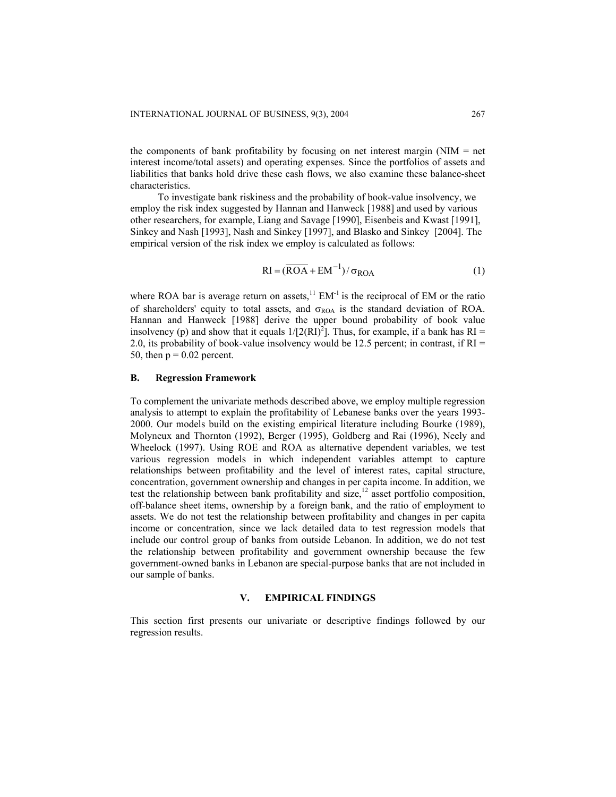the components of bank profitability by focusing on net interest margin (NIM  $=$  net interest income/total assets) and operating expenses. Since the portfolios of assets and liabilities that banks hold drive these cash flows, we also examine these balance-sheet characteristics.

To investigate bank riskiness and the probability of book-value insolvency, we employ the risk index suggested by Hannan and Hanweck [1988] and used by various other researchers, for example, Liang and Savage [1990], Eisenbeis and Kwast [1991], Sinkey and Nash [1993], Nash and Sinkey [1997], and Blasko and Sinkey [2004]. The empirical version of the risk index we employ is calculated as follows:

$$
RI = (\overline{ROA} + EM^{-1}) / \sigma_{ROA}
$$
 (1)

where ROA bar is average return on assets, $^{11}$  EM<sup>-1</sup> is the reciprocal of EM or the ratio of shareholders' equity to total assets, and  $\sigma_{\text{ROA}}$  is the standard deviation of ROA. Hannan and Hanweck [1988] derive the upper bound probability of book value insolvency (p) and show that it equals  $1/[2(RI)^{2}]$ . Thus, for example, if a bank has RI = 2.0, its probability of book-value insolvency would be 12.5 percent; in contrast, if RI = 50, then  $p = 0.02$  percent.

#### **B. Regression Framework**

To complement the univariate methods described above, we employ multiple regression analysis to attempt to explain the profitability of Lebanese banks over the years 1993- 2000. Our models build on the existing empirical literature including Bourke (1989), Molyneux and Thornton (1992), Berger (1995), Goldberg and Rai (1996), Neely and Wheelock (1997). Using ROE and ROA as alternative dependent variables, we test various regression models in which independent variables attempt to capture relationships between profitability and the level of interest rates, capital structure, concentration, government ownership and changes in per capita income. In addition, we test the relationship between bank profitability and size, $12$  asset portfolio composition, off-balance sheet items, ownership by a foreign bank, and the ratio of employment to assets. We do not test the relationship between profitability and changes in per capita income or concentration, since we lack detailed data to test regression models that include our control group of banks from outside Lebanon. In addition, we do not test the relationship between profitability and government ownership because the few government-owned banks in Lebanon are special-purpose banks that are not included in our sample of banks.

### **V. EMPIRICAL FINDINGS**

This section first presents our univariate or descriptive findings followed by our regression results.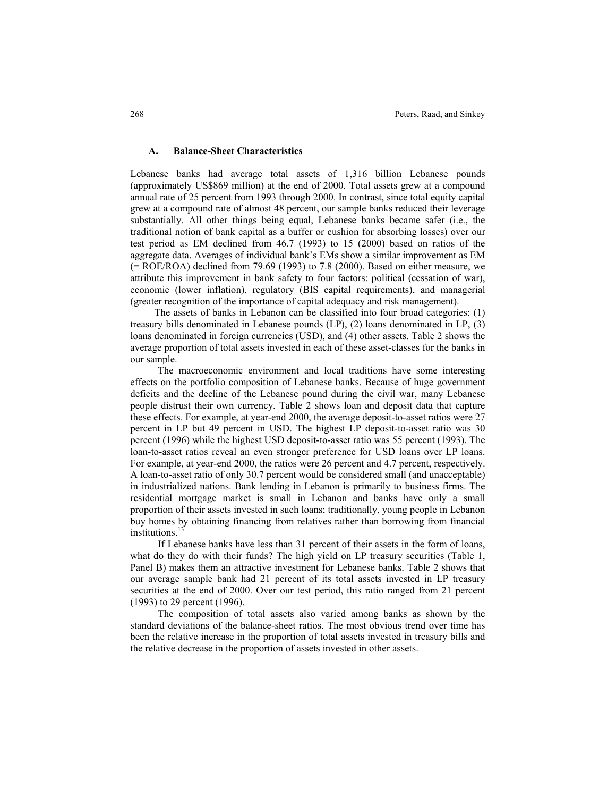### **A. Balance-Sheet Characteristics**

Lebanese banks had average total assets of 1,316 billion Lebanese pounds (approximately US\$869 million) at the end of 2000. Total assets grew at a compound annual rate of 25 percent from 1993 through 2000. In contrast, since total equity capital grew at a compound rate of almost 48 percent, our sample banks reduced their leverage substantially. All other things being equal, Lebanese banks became safer (i.e., the traditional notion of bank capital as a buffer or cushion for absorbing losses) over our test period as EM declined from 46.7 (1993) to 15 (2000) based on ratios of the aggregate data. Averages of individual bank's EMs show a similar improvement as EM (= ROE/ROA) declined from 79.69 (1993) to 7.8 (2000). Based on either measure, we attribute this improvement in bank safety to four factors: political (cessation of war), economic (lower inflation), regulatory (BIS capital requirements), and managerial (greater recognition of the importance of capital adequacy and risk management).

The assets of banks in Lebanon can be classified into four broad categories: (1) treasury bills denominated in Lebanese pounds (LP), (2) loans denominated in LP, (3) loans denominated in foreign currencies (USD), and (4) other assets. Table 2 shows the average proportion of total assets invested in each of these asset-classes for the banks in our sample.

The macroeconomic environment and local traditions have some interesting effects on the portfolio composition of Lebanese banks. Because of huge government deficits and the decline of the Lebanese pound during the civil war, many Lebanese people distrust their own currency. Table 2 shows loan and deposit data that capture these effects. For example, at year-end 2000, the average deposit-to-asset ratios were 27 percent in LP but 49 percent in USD. The highest LP deposit-to-asset ratio was 30 percent (1996) while the highest USD deposit-to-asset ratio was 55 percent (1993). The loan-to-asset ratios reveal an even stronger preference for USD loans over LP loans. For example, at year-end 2000, the ratios were 26 percent and 4.7 percent, respectively. A loan-to-asset ratio of only 30.7 percent would be considered small (and unacceptable) in industrialized nations. Bank lending in Lebanon is primarily to business firms. The residential mortgage market is small in Lebanon and banks have only a small proportion of their assets invested in such loans; traditionally, young people in Lebanon buy homes by obtaining financing from relatives rather than borrowing from financial institutions.<sup>13</sup>

If Lebanese banks have less than 31 percent of their assets in the form of loans, what do they do with their funds? The high yield on LP treasury securities (Table 1, Panel B) makes them an attractive investment for Lebanese banks. Table 2 shows that our average sample bank had 21 percent of its total assets invested in LP treasury securities at the end of 2000. Over our test period, this ratio ranged from 21 percent (1993) to 29 percent (1996).

The composition of total assets also varied among banks as shown by the standard deviations of the balance-sheet ratios. The most obvious trend over time has been the relative increase in the proportion of total assets invested in treasury bills and the relative decrease in the proportion of assets invested in other assets.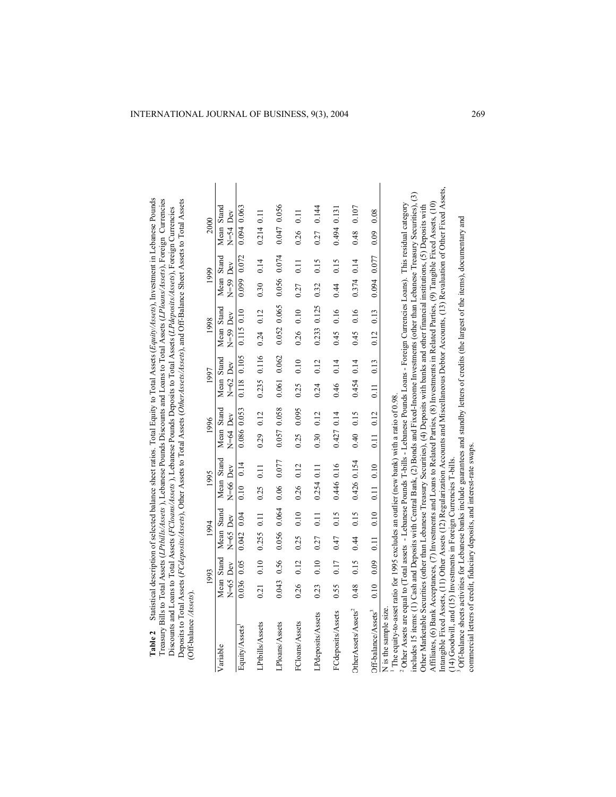| <b>Table 2</b> Statistical description of selected balance sheet ratios. Total Equity to Total Assets ( <i>Equity/Assets</i> ), Investment in Lebanese Pounds<br>Treasury Bills to Total Assets (LPtbills/Assets), Lebanese Pounds Discounts and Loans to Total Assets (LPloans/Assets), Foreign Currencies<br>Deposits to Total Assets (FCdeposits/Assets), Other Assets to Total Assets (Other Assets/Assets), and Off-Balance Sheet Assets to Total Assets<br>Discounts and Loans to Total Assets ( <i>FCloans/Assets</i> ), Lebanese Pounds Deposits to Total Assets ( <i>LPdeposits/Assets</i> ), Foreign Currencies<br>(Off-balance/Assets) |       |                          |            |             |             |                                                  |                            |       |                          |               |                          |      |                          |                   |                            |       |
|---------------------------------------------------------------------------------------------------------------------------------------------------------------------------------------------------------------------------------------------------------------------------------------------------------------------------------------------------------------------------------------------------------------------------------------------------------------------------------------------------------------------------------------------------------------------------------------------------------------------------------------------------|-------|--------------------------|------------|-------------|-------------|--------------------------------------------------|----------------------------|-------|--------------------------|---------------|--------------------------|------|--------------------------|-------------------|----------------------------|-------|
|                                                                                                                                                                                                                                                                                                                                                                                                                                                                                                                                                                                                                                                   |       | 1993                     |            | 1994        |             | 1995                                             |                            | 1996  | 1997                     |               | 1998                     |      | 1999                     |                   | 2000                       |       |
| Variable                                                                                                                                                                                                                                                                                                                                                                                                                                                                                                                                                                                                                                          |       | Mean Stand<br>$N=65$ Dev | $N=65$ Dev | Mean Stand  | $N=66$ Dev  | Mean Stand                                       | Mean Stand<br>$N = 64$ Dev |       | Mean Stand<br>$N=62$ Dev |               | Mean Stand<br>$N=59$ Dev |      | Mean Stand<br>$N=59$ Dev |                   | Mean Stand<br>$N = 54$ Dev |       |
| Equity/Assets                                                                                                                                                                                                                                                                                                                                                                                                                                                                                                                                                                                                                                     |       | 0.036 0.05               | 0.042 0.04 |             | 0.10        | 0.14                                             | 0.086 0.053                |       | 0.118 0.105              |               | 0.115 0.10               |      | 0.099 0.072              |                   | 0.0940063                  |       |
| LPtbills/Assets                                                                                                                                                                                                                                                                                                                                                                                                                                                                                                                                                                                                                                   | 0.21  | 0.10                     | 0.255      | 0.11        | 0.25        | $\overline{0.11}$                                | 0.29                       | 0.12  | 0.235                    | 0.116         | $0.24$ $0.12$            |      | 0.30                     | 0.14              | 0.214 0.11                 |       |
| LPloans/Assets                                                                                                                                                                                                                                                                                                                                                                                                                                                                                                                                                                                                                                    | 0.043 | 0.56                     |            | 0.056 0.064 | 0.06        | 0.077                                            | 0.057 0.058                |       | 0.061 0.062              |               | 0.052 0.065              |      | 0.056 0.074              |                   | 0.047 0.056                |       |
| FCloans/Assets                                                                                                                                                                                                                                                                                                                                                                                                                                                                                                                                                                                                                                    | 0.26  | 0.12                     | 0.25       | 0.10        | 0.26        | 0.12                                             | 0.25                       | 0.095 | 0.25                     | 0.10          | 0.26                     | 0.10 | 0.27                     | $\overline{0.11}$ | 0.26                       | 0.11  |
| LPdeposits/Assets                                                                                                                                                                                                                                                                                                                                                                                                                                                                                                                                                                                                                                 | 0.23  | 0.10                     | 0.27       | 0.11        | 0.254 0.11  |                                                  | 0.30                       | 0.12  | 0.24                     | 0.12          | 0.233 0.125              |      | 0.32                     | 0.15              | 0.27                       | 0.144 |
| FCdeposits/Assets                                                                                                                                                                                                                                                                                                                                                                                                                                                                                                                                                                                                                                 | 0.55  | 0.17                     | 0.47       | 0.15        | 0.446 0.16  |                                                  | $0.427$ 0.14               |       | 0.46                     | 0.14          | 0.45                     | 0.16 | 0.44                     | 0.15              | 0.494 0.131                |       |
| OtherAssets/Assets <sup>2</sup>                                                                                                                                                                                                                                                                                                                                                                                                                                                                                                                                                                                                                   | 0.48  | 0.15                     | 0.44       | 0.15        | 0.426 0.154 |                                                  | 0.40                       | 0.15  | $0.454$ $0.14$           |               | 0.45                     | 0.16 | 0.374 0.14               |                   | 0.48                       | 0.107 |
| Off-balance/Assets <sup>3</sup>                                                                                                                                                                                                                                                                                                                                                                                                                                                                                                                                                                                                                   |       |                          |            |             |             | $0.10$ $0.10$ $0.11$ $0.10$ $0.10$ $0.11$ $0.12$ |                            |       |                          | $0.11$ $0.13$ | $0.12$ $0.13$            |      | 0.094 0.077              |                   | $0.09$ 0.08                |       |
| I The equity to need ratio for 1005 evoludes an outlier (near bon) unto ratio of 0.08<br>N is the sample size                                                                                                                                                                                                                                                                                                                                                                                                                                                                                                                                     |       |                          |            |             |             |                                                  |                            |       |                          |               |                          |      |                          |                   |                            |       |

Statistical description of selected balance sheet ratios. Total Equity to Total Assets (Equity/Assets), Investment in Lebanese Pounds

Table 2

1 The equity-to-asset ratio for 1995 excludes an outlier (new bank) with a ratio of 0.98. The equity-to-asset ratio for 1995 excludes an outlier (new bank) with a ratio of  $0.98$ .

Intangible Fixed Assets, (11) Other Assets (12) Regularization Accounts and Miscellaneous Debtor Accounts, (13) Revaluation of Other Fixed Assets,<br>(14) Goodwill, and (15) Investments in Foreign Currencies T-bills.<br><sup>3</sup> Off-Intangible Fixed Assets, (11) Other Assets (12) Regularization Accounts and Miscellaneous Debtor Accounts, (13) Revaluation of Other Fixed Assets, includes 15 items: (1) Cash and Deposits with Central Bank, (2) Bonds and Fixed-Income Investments (other than Lebanese Treasury Securities), (3) includes 15 items: (1) Cash and Deposits with Central Bank, (2) Bonds and Fixed-Income Investments (other than Lebanese Treasury Securities), (3) Affiliates, (6) Bank Acceptances, (7) Investments and Loans to Related Parties, (8) Investments in Related Parties, (9) Tangible Fixed Assets, (10) 2 Other Assets are equal to (Total assets - Lebanese Pounds T-bills - Lebanese Pounds Loans - Foreign Currencies Loans). This residual category <sup>2</sup> Other Assets are equal to (Total assets - Lebanese Pounds T-bills - Lebanese Pounds Loans - Foreign Currencies Loans). This residual category Affiliates, (6) Bank Acceptances, (7) Investments and Loans to Related Parties, (8) Investments in Related Parties, (9) Tangible Fixed Assets, (10) Other Marketable Securities (other than Lebanese Treasury Securities), (4) Deposits with banks and other financial institutions, (5) Deposits with Other Marketable Securities (other than Lebanese Treasury Securities), (4) Deposits with banks and other financial institutions, (5) Deposits with (14) Goodwill, and (15) Investments in Foreign Currencies T-bills.

3 Off-balance sheets activities for Lebanese banks include guarantees and standby letters of credits (the largest of the items), documentary and

commercial letters of credit, fiduciary deposits, and interest-rate swaps. commercial letters of credit, fiduciary deposits, and interest-rate swaps.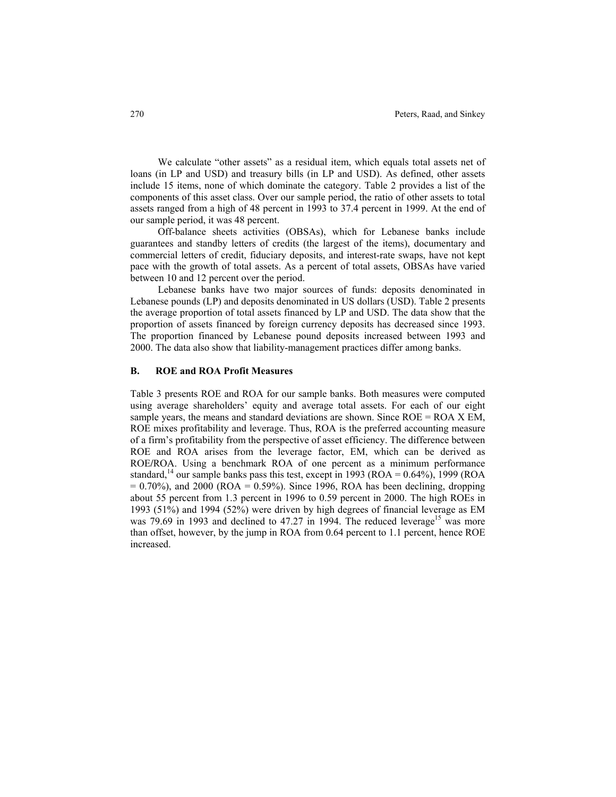We calculate "other assets" as a residual item, which equals total assets net of loans (in LP and USD) and treasury bills (in LP and USD). As defined, other assets include 15 items, none of which dominate the category. Table 2 provides a list of the components of this asset class. Over our sample period, the ratio of other assets to total assets ranged from a high of 48 percent in 1993 to 37.4 percent in 1999. At the end of our sample period, it was 48 percent.

Off-balance sheets activities (OBSAs), which for Lebanese banks include guarantees and standby letters of credits (the largest of the items), documentary and commercial letters of credit, fiduciary deposits, and interest-rate swaps, have not kept pace with the growth of total assets. As a percent of total assets, OBSAs have varied between 10 and 12 percent over the period.

Lebanese banks have two major sources of funds: deposits denominated in Lebanese pounds (LP) and deposits denominated in US dollars (USD). Table 2 presents the average proportion of total assets financed by LP and USD. The data show that the proportion of assets financed by foreign currency deposits has decreased since 1993. The proportion financed by Lebanese pound deposits increased between 1993 and 2000. The data also show that liability-management practices differ among banks.

### **B. ROE and ROA Profit Measures**

Table 3 presents ROE and ROA for our sample banks. Both measures were computed using average shareholders' equity and average total assets. For each of our eight sample years, the means and standard deviations are shown. Since  $ROE = ROA \times EM$ , ROE mixes profitability and leverage. Thus, ROA is the preferred accounting measure of a firm's profitability from the perspective of asset efficiency. The difference between ROE and ROA arises from the leverage factor, EM, which can be derived as ROE**/**ROA. Using a benchmark ROA of one percent as a minimum performance standard,<sup>14</sup> our sample banks pass this test, except in 1993 (ROA =  $0.64\%$ ), 1999 (ROA  $= 0.70\%$ ), and 2000 (ROA  $= 0.59\%$ ). Since 1996, ROA has been declining, dropping about 55 percent from 1.3 percent in 1996 to 0.59 percent in 2000. The high ROEs in 1993 (51%) and 1994 (52%) were driven by high degrees of financial leverage as EM was 79.69 in 1993 and declined to 47.27 in 1994. The reduced leverage<sup>15</sup> was more than offset, however, by the jump in ROA from 0.64 percent to 1.1 percent, hence ROE increased.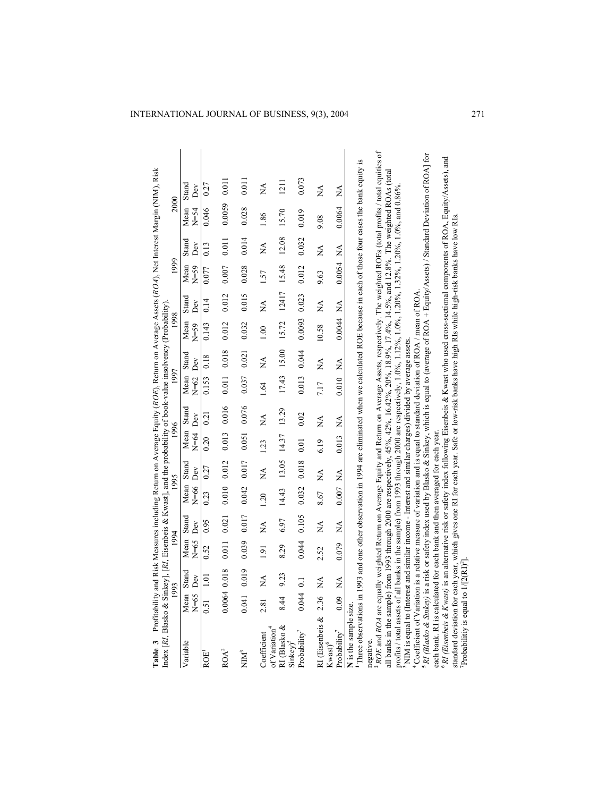| Table 3 Profitability and Risk Measures including Return on Average Equity (ROE), Return on Average Assets (RO4), Net Interest Margin (NIM), Risk                                                                                                                                                                                                                                         |        |                   |                      |                      |            |                           |                          |       |                          |       |                  |                  |                |              |                  |                                                                                                                                                                         |
|-------------------------------------------------------------------------------------------------------------------------------------------------------------------------------------------------------------------------------------------------------------------------------------------------------------------------------------------------------------------------------------------|--------|-------------------|----------------------|----------------------|------------|---------------------------|--------------------------|-------|--------------------------|-------|------------------|------------------|----------------|--------------|------------------|-------------------------------------------------------------------------------------------------------------------------------------------------------------------------|
| Index [RI, Blasko & Sinkey], [RI, Eisenbeis & Kwast], and the probability of book-value insolvency (Probability)                                                                                                                                                                                                                                                                          |        | 1993              | 1994                 |                      |            | 1995                      | 1996                     |       | 1997                     |       | 1998             |                  | 1999           |              | 2000             |                                                                                                                                                                         |
| Variable                                                                                                                                                                                                                                                                                                                                                                                  | $N=65$ | Mean Stand<br>Dev | Mean Stand<br>$N=65$ | Dev                  | $N=66$ Dev | Mean Stand                | Mean Stand<br>$N=64$ Dev |       | Mean Stand<br>$N=62$ Dev |       | Mean<br>$N = 59$ | Stand<br>Dev     | Mean<br>$N=59$ | Stand<br>Dev | Mean<br>$N = 54$ | Stand<br>Dev                                                                                                                                                            |
| ROE <sup>1</sup>                                                                                                                                                                                                                                                                                                                                                                          | 0.51   | 1.01              | 0.52                 | 0.95                 | 0.23       | 0.27                      | 0.20                     | 0.21  | 0.153                    | 0.18  | 0.143            | 0.14             | 0.077          | 0.13         | 0.046            | 0.27                                                                                                                                                                    |
| ROA <sup>2</sup>                                                                                                                                                                                                                                                                                                                                                                          |        | $0.0064$ $0.018$  | 0.011                | 0.021                | 0.010      | 0.012                     | 0.013                    | 0.016 | 0.011                    | 0.018 | 0.012            | 0.012            | 0.007          | 0.011        | 0.0059           | 0.011                                                                                                                                                                   |
| NIM <sup>3</sup>                                                                                                                                                                                                                                                                                                                                                                          | 0.041  | 0.019             | 0.039                | 0.017                | 0.042      | 0.017                     | 0.051                    | 0.076 | 0.037                    | 0.021 | 0.032            | 0.015            | 0.028          | 0.014        | 0.028            | 0.011                                                                                                                                                                   |
| Coefficient                                                                                                                                                                                                                                                                                                                                                                               | 2.81   | Á                 | 1.91                 | $\mathbb{\tilde{A}}$ | 1.20       | $\mathbb{A}^{\mathbb{A}}$ | 1.23                     | Ź     | 1.64                     | Ź     | 1.00             | $\sum_{i=1}^{n}$ | 1.57           | Ń            | 1.86             | $\frac{\mathbf{A}}{\mathbf{A}}$                                                                                                                                         |
| RI (Blasko &<br>of Variation <sup>4</sup>                                                                                                                                                                                                                                                                                                                                                 | 8.44   | 9.23              | 8.29                 | 6.97                 | 14.43      | 13.05                     | 14.37                    | 13.29 | 17.43                    | 15.00 | 15.72            | 12417            | 15.48          | 12.08        | 15.70            | 1211                                                                                                                                                                    |
| Probability <sup>7</sup><br>$Sinkey$ <sup>5</sup>                                                                                                                                                                                                                                                                                                                                         | 0.044  | $\overline{0}$    | 0.044                | 0.105                | 0.032      | 0.018                     | 0.01                     | 0.02  | 0.013                    | 0.044 | 0.0093           | 0.023            | 0.012          | 0.032        | 0.019            | 0.073                                                                                                                                                                   |
| RI (Eisenbeis &                                                                                                                                                                                                                                                                                                                                                                           | 2.36   | Ź                 | 2.52                 | Ź                    | 8.67       | Ź                         | 6.19                     | ≸     | 7.17                     | Á     | 10.58            | ≸                | 9.63           | Ź            | 9.08             | ≸                                                                                                                                                                       |
| $Probability7$<br>$Kwast$ <sup>6</sup>                                                                                                                                                                                                                                                                                                                                                    | 0.09   | $\tilde{\ge}$     | 0.079                | Á                    | 0.007      | $\mathbb{A}$              | 0.013                    | Á     | 0.010                    | ≸     | 0.0044           | Ź                | 0.0054         | Ź            | 0.0064           | Ź                                                                                                                                                                       |
| <sup>1</sup> Three observations in 1993 and one other observation in 1994 are eliminated when we calculated ROE because in each of those four cases the bank equity is<br>N is the sample size<br>negative.                                                                                                                                                                               |        |                   |                      |                      |            |                           |                          |       |                          |       |                  |                  |                |              |                  |                                                                                                                                                                         |
| all banks in the sample) from 1993 through 2000 are respectively, 45%, 42%, 16.42%, 20%, 18.9%, 17.4%, 14.5%, and 12.8%. The weighted ROAs (total                                                                                                                                                                                                                                         |        |                   |                      |                      |            |                           |                          |       |                          |       |                  |                  |                |              |                  | <sup>2</sup> ROE and ROA are equally weighted Return on Average Equity and Return on Average Assets, respectively. The weighted ROEs (total profits / total equities of |
| profits / total assets of all banks in the sample) from 1993 through 2000 are respectively, $1.0\%$ , $1.0\%$ , $1.0\%$ , $1.20\%$ , $1.32\%$ , $1.20\%$ , $1.20\%$ , $1.0\%$ , $1.00\%$ , $1.00\%$ , $1.00\%$ , $1.00\%$ , $1.00\%$ , $1.$<br><sup>3</sup> NIM is equal to (Interest and similar income - Interest and similar charges) divided by average assets.                       |        |                   |                      |                      |            |                           |                          |       |                          |       |                  |                  |                |              |                  |                                                                                                                                                                         |
| <sup>5</sup> RI (Blasko & Sinkey) is a risk or safety index used by Blasko & Sinkey, which is equal to (average of ROA + Equity/Assets) / Standard Deviation of ROA] for<br><sup>4</sup> Coefficient of Variation is a relative measure of variation and is equal to standard deviation of ROA / mean of ROA<br>each bank. RI is calculated for each bank and then averaged for each year |        |                   |                      |                      |            |                           |                          |       |                          |       |                  |                  |                |              |                  |                                                                                                                                                                         |
| <sup>6</sup> RI (Eisenbeis & Kwast) is an alternative risk or safety index following Eisenbeis & Kwast who used cross-sectional components of ROA, Equity/Assets), and<br>standard deviation for each year, which gives one RI for each year. Safe or low-risk banks have high RIs while high-risk banks have low RIs.<br>Probabilitiy is equal to $1/[2(R1)^2]$                          |        |                   |                      |                      |            |                           |                          |       |                          |       |                  |                  |                |              |                  |                                                                                                                                                                         |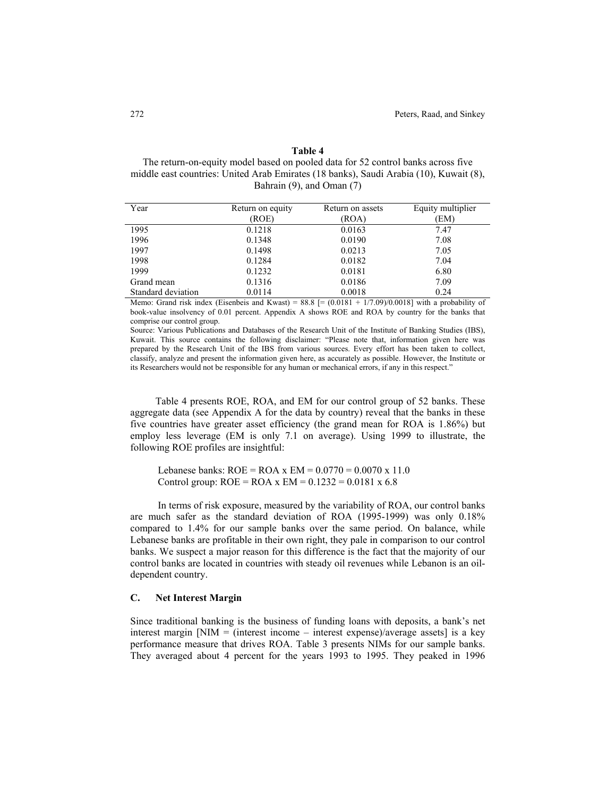#### **Table 4**

The return-on-equity model based on pooled data for 52 control banks across five middle east countries: United Arab Emirates (18 banks), Saudi Arabia (10), Kuwait (8), Bahrain (9), and Oman (7)

| Year               | Return on equity | Return on assets | Equity multiplier |
|--------------------|------------------|------------------|-------------------|
|                    | (ROE)            | (ROA)            | (EM)              |
| 1995               | 0.1218           | 0.0163           | 7.47              |
| 1996               | 0.1348           | 0.0190           | 7.08              |
| 1997               | 0.1498           | 0.0213           | 7.05              |
| 1998               | 0.1284           | 0.0182           | 7.04              |
| 1999               | 0.1232           | 0.0181           | 6.80              |
| Grand mean         | 0.1316           | 0.0186           | 7.09              |
| Standard deviation | 0.0114           | 0.0018           | 0.24              |

Memo: Grand risk index (Eisenbeis and Kwast) =  $88.8$  [=  $(0.0181 + 1/7.09)/0.0018$ ] with a probability of book-value insolvency of 0.01 percent. Appendix A shows ROE and ROA by country for the banks that comprise our control group.

Source: Various Publications and Databases of the Research Unit of the Institute of Banking Studies (IBS), Kuwait. This source contains the following disclaimer: "Please note that, information given here was prepared by the Research Unit of the IBS from various sources. Every effort has been taken to collect, classify, analyze and present the information given here, as accurately as possible. However, the Institute or its Researchers would not be responsible for any human or mechanical errors, if any in this respect."

Table 4 presents ROE, ROA, and EM for our control group of 52 banks. These aggregate data (see Appendix A for the data by country) reveal that the banks in these five countries have greater asset efficiency (the grand mean for ROA is 1.86%) but employ less leverage (EM is only 7.1 on average). Using 1999 to illustrate, the following ROE profiles are insightful:

Lebanese banks:  $ROE = ROA \times EM = 0.0770 = 0.0070 \times 11.0$ Control group:  $ROE = ROA \times EM = 0.1232 = 0.0181 \times 6.8$ 

In terms of risk exposure, measured by the variability of ROA, our control banks are much safer as the standard deviation of ROA (1995-1999) was only 0.18% compared to 1.4% for our sample banks over the same period. On balance, while Lebanese banks are profitable in their own right, they pale in comparison to our control banks. We suspect a major reason for this difference is the fact that the majority of our control banks are located in countries with steady oil revenues while Lebanon is an oildependent country.

### **C. Net Interest Margin**

Since traditional banking is the business of funding loans with deposits, a bank's net interest margin  $[NIM = (interest income - interest expense)/average assets]$  is a key performance measure that drives ROA. Table 3 presents NIMs for our sample banks. They averaged about 4 percent for the years 1993 to 1995. They peaked in 1996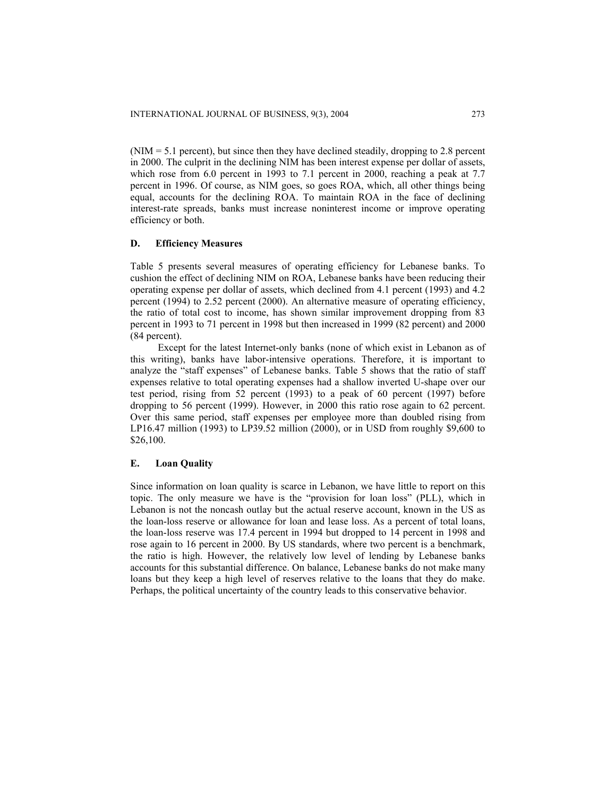$(NIM = 5.1$  percent), but since then they have declined steadily, dropping to 2.8 percent in 2000. The culprit in the declining NIM has been interest expense per dollar of assets, which rose from 6.0 percent in 1993 to 7.1 percent in 2000, reaching a peak at 7.7 percent in 1996. Of course, as NIM goes, so goes ROA, which, all other things being equal, accounts for the declining ROA. To maintain ROA in the face of declining interest-rate spreads, banks must increase noninterest income or improve operating efficiency or both.

### **D. Efficiency Measures**

Table 5 presents several measures of operating efficiency for Lebanese banks. To cushion the effect of declining NIM on ROA, Lebanese banks have been reducing their operating expense per dollar of assets, which declined from 4.1 percent (1993) and 4.2 percent (1994) to 2.52 percent (2000). An alternative measure of operating efficiency, the ratio of total cost to income, has shown similar improvement dropping from 83 percent in 1993 to 71 percent in 1998 but then increased in 1999 (82 percent) and 2000 (84 percent).

Except for the latest Internet-only banks (none of which exist in Lebanon as of this writing), banks have labor-intensive operations. Therefore, it is important to analyze the "staff expenses" of Lebanese banks. Table 5 shows that the ratio of staff expenses relative to total operating expenses had a shallow inverted U-shape over our test period, rising from 52 percent (1993) to a peak of 60 percent (1997) before dropping to 56 percent (1999). However, in 2000 this ratio rose again to 62 percent. Over this same period, staff expenses per employee more than doubled rising from LP16.47 million (1993) to LP39.52 million (2000), or in USD from roughly \$9,600 to \$26,100.

#### **E. Loan Quality**

Since information on loan quality is scarce in Lebanon, we have little to report on this topic. The only measure we have is the "provision for loan loss" (PLL), which in Lebanon is not the noncash outlay but the actual reserve account, known in the US as the loan-loss reserve or allowance for loan and lease loss. As a percent of total loans, the loan-loss reserve was 17.4 percent in 1994 but dropped to 14 percent in 1998 and rose again to 16 percent in 2000. By US standards, where two percent is a benchmark, the ratio is high. However, the relatively low level of lending by Lebanese banks accounts for this substantial difference. On balance, Lebanese banks do not make many loans but they keep a high level of reserves relative to the loans that they do make. Perhaps, the political uncertainty of the country leads to this conservative behavior.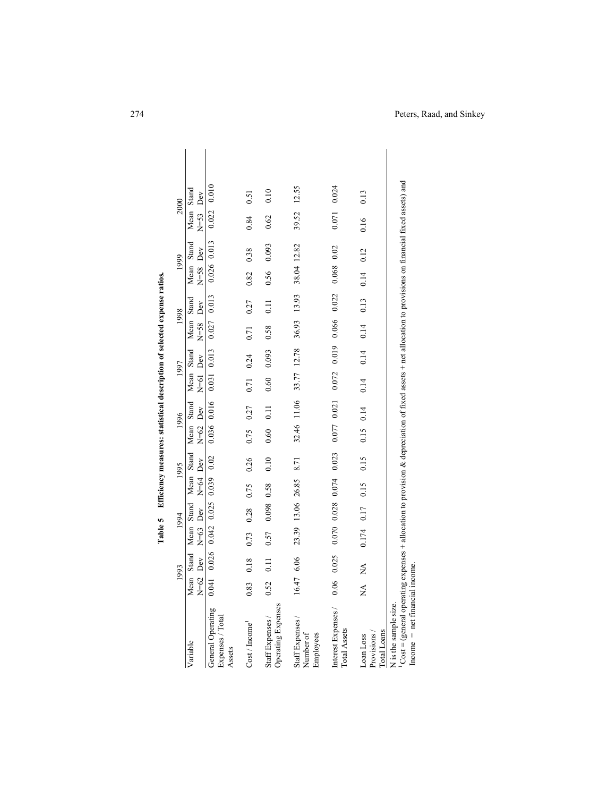|                                                                                                                                                                                                                         |                | 1993                                 |            | 1994                  |                          | 1995  |                          | 1996        |                          | 1997                                            | 1998                       |                                                 | 1999                       |       |                        | 2000  |  |
|-------------------------------------------------------------------------------------------------------------------------------------------------------------------------------------------------------------------------|----------------|--------------------------------------|------------|-----------------------|--------------------------|-------|--------------------------|-------------|--------------------------|-------------------------------------------------|----------------------------|-------------------------------------------------|----------------------------|-------|------------------------|-------|--|
| Variable                                                                                                                                                                                                                | Mean<br>$N=62$ | Dev<br>Stand                         | Mean Stand | $N=63$ Dev            | Mean Stand<br>$N=64$ Dev |       | Mean Stand<br>$N=62$ Dev |             | $N=61$ Dev<br>Mean Stand |                                                 | Mean Stand<br>$N = 58$ Dev |                                                 | Mean Stand<br>$N = 58$ Dev |       | Mean Stand<br>$N = 53$ | Dev   |  |
| General Operating<br>Expenses / Total<br>Assets                                                                                                                                                                         |                | $0.041$ 0.026 0.042 0.025 0.039 0.02 |            |                       |                          |       |                          |             |                          | $0.036$ $0.016$ $0.031$ $0.013$ $0.027$ $0.013$ |                            |                                                 | 0.026 0.013                |       | 0.022 0.010            |       |  |
| Cost/Income                                                                                                                                                                                                             | 0.83           | 0.18                                 | 0.73       | 0.28                  | 0.75                     | 0.26  | 0.75                     | 0.27        | 0.71                     | 0.24                                            | 0.71                       | 0.27                                            | 0.82                       | 0.38  | 0.84                   | 0.51  |  |
| Operating Expenses<br>Staff Expenses /                                                                                                                                                                                  | 0.52           | 0.11                                 | 0.57       | 0.098 0.58            |                          | 0.10  | 0.60                     | 0.11        | 0.60 0.093               |                                                 | 0.58                       | 0.11                                            | 0.56                       | 0.093 | 0.62                   | 0.10  |  |
| Staff Expenses /<br>Employees<br>Number of                                                                                                                                                                              | 16.47 6.06     |                                      |            |                       | 23.39 13.06 26.85 8.71   |       |                          |             |                          |                                                 |                            | 32.46 11.06 33.77 12.78 36.93 13.93 38.04 12.82 |                            |       | 39.52                  | 12.55 |  |
| Interest Expenses /<br>Total Assets                                                                                                                                                                                     | 0.06           | 0.025                                |            | $0.070$ $0.028$ 0.074 |                          | 0.023 |                          | 0.077 0.021 | 0.072                    | 0.019                                           | 0.066                      | 0.022                                           | $0.068$ $0.02$             |       | 0.071                  | 0.024 |  |
| Total Loans<br>Provisions/<br>Loan Loss                                                                                                                                                                                 | $\tilde{\ge}$  | Ź                                    | 0.174 0.17 |                       | 0.15                     | 0.15  | $0.15$ $0.14$            |             | 0.14                     | 0.14                                            | 0.14                       | 0.13                                            | 0.14                       | 0.12  | 0.16                   | 0.13  |  |
| Cost = (general operating expenses + allocation to provision & depreciation of fixed assets + net allocation to provisions on financial fixed assets) and<br>$Income = net financial income$ .<br>N is the sample size. |                |                                      |            |                       |                          |       |                          |             |                          |                                                 |                            |                                                 |                            |       |                        |       |  |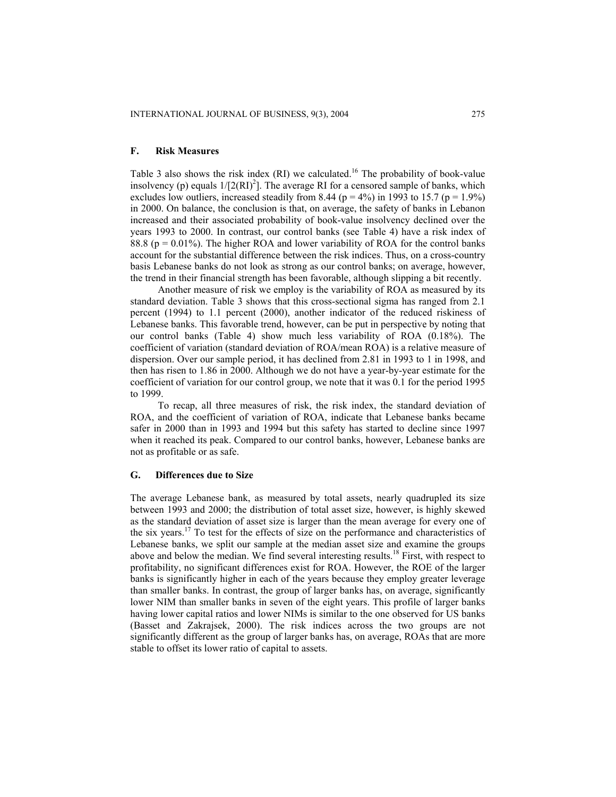### **F. Risk Measures**

Table 3 also shows the risk index  $(RI)$  we calculated.<sup>16</sup> The probability of book-value insolvency (p) equals  $1/[2(RI)^2]$ . The average RI for a censored sample of banks, which excludes low outliers, increased steadily from 8.44 ( $p = 4\%$ ) in 1993 to 15.7 ( $p = 1.9\%$ ) in 2000. On balance, the conclusion is that, on average, the safety of banks in Lebanon increased and their associated probability of book-value insolvency declined over the years 1993 to 2000. In contrast, our control banks (see Table 4) have a risk index of 88.8 ( $p = 0.01\%$ ). The higher ROA and lower variability of ROA for the control banks account for the substantial difference between the risk indices. Thus, on a cross-country basis Lebanese banks do not look as strong as our control banks; on average, however, the trend in their financial strength has been favorable, although slipping a bit recently.

Another measure of risk we employ is the variability of ROA as measured by its standard deviation. Table 3 shows that this cross-sectional sigma has ranged from 2.1 percent (1994) to 1.1 percent (2000), another indicator of the reduced riskiness of Lebanese banks. This favorable trend, however, can be put in perspective by noting that our control banks (Table 4) show much less variability of ROA (0.18%). The coefficient of variation (standard deviation of ROA/mean ROA) is a relative measure of dispersion. Over our sample period, it has declined from 2.81 in 1993 to 1 in 1998, and then has risen to 1.86 in 2000. Although we do not have a year-by-year estimate for the coefficient of variation for our control group, we note that it was 0.1 for the period 1995 to 1999.

To recap, all three measures of risk, the risk index, the standard deviation of ROA, and the coefficient of variation of ROA, indicate that Lebanese banks became safer in 2000 than in 1993 and 1994 but this safety has started to decline since 1997 when it reached its peak. Compared to our control banks, however, Lebanese banks are not as profitable or as safe.

#### **G. Differences due to Size**

The average Lebanese bank, as measured by total assets, nearly quadrupled its size between 1993 and 2000; the distribution of total asset size, however, is highly skewed as the standard deviation of asset size is larger than the mean average for every one of the six years.17 To test for the effects of size on the performance and characteristics of Lebanese banks, we split our sample at the median asset size and examine the groups above and below the median. We find several interesting results.<sup>18</sup> First, with respect to profitability, no significant differences exist for ROA. However, the ROE of the larger banks is significantly higher in each of the years because they employ greater leverage than smaller banks. In contrast, the group of larger banks has, on average, significantly lower NIM than smaller banks in seven of the eight years. This profile of larger banks having lower capital ratios and lower NIMs is similar to the one observed for US banks (Basset and Zakrajsek, 2000). The risk indices across the two groups are not significantly different as the group of larger banks has, on average, ROAs that are more stable to offset its lower ratio of capital to assets.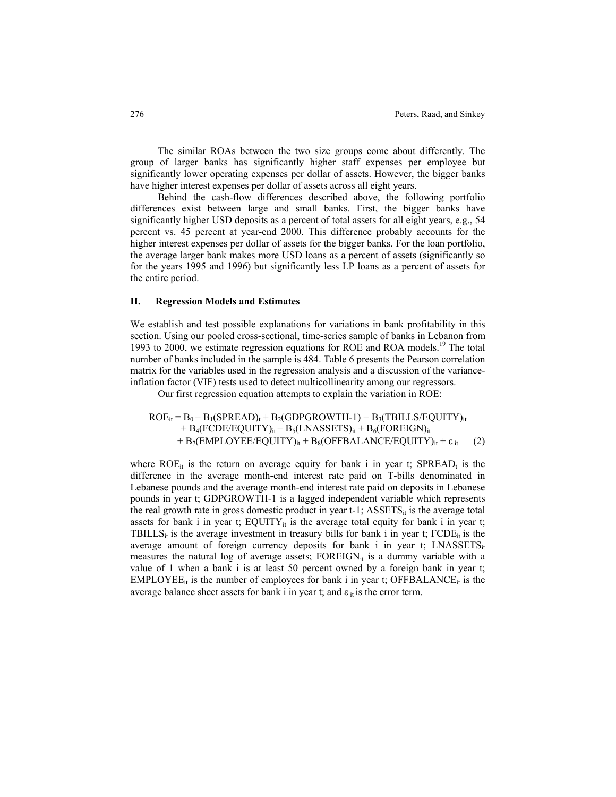The similar ROAs between the two size groups come about differently. The group of larger banks has significantly higher staff expenses per employee but significantly lower operating expenses per dollar of assets. However, the bigger banks have higher interest expenses per dollar of assets across all eight years.

Behind the cash-flow differences described above, the following portfolio differences exist between large and small banks. First, the bigger banks have significantly higher USD deposits as a percent of total assets for all eight years, e.g., 54 percent vs. 45 percent at year-end 2000. This difference probably accounts for the higher interest expenses per dollar of assets for the bigger banks. For the loan portfolio, the average larger bank makes more USD loans as a percent of assets (significantly so for the years 1995 and 1996) but significantly less LP loans as a percent of assets for the entire period.

#### **H. Regression Models and Estimates**

We establish and test possible explanations for variations in bank profitability in this section. Using our pooled cross-sectional, time-series sample of banks in Lebanon from 1993 to 2000, we estimate regression equations for ROE and ROA models.<sup>19</sup> The total number of banks included in the sample is 484. Table 6 presents the Pearson correlation matrix for the variables used in the regression analysis and a discussion of the varianceinflation factor (VIF) tests used to detect multicollinearity among our regressors.

Our first regression equation attempts to explain the variation in ROE:

 $ROE_{it} = B_0 + B_1(SPREAD)_t + B_2(GDPGROWTH-1) + B_3(TBILLS/EQUITY)_{it}$  $+ B_4$ (FCDE/EQUITY)<sub>it</sub> + B<sub>5</sub>(LNASSETS)<sub>it</sub> + B<sub>6</sub>(FOREIGN)<sub>it</sub> +  $B_7$ (EMPLOYEE/EQUITY)<sub>it</sub> +  $B_8$ (OFFBALANCE/EQUITY)<sub>it</sub> +  $\varepsilon$ <sub>it</sub> (2)

where  $ROE_{it}$  is the return on average equity for bank i in year t;  $SPREAD_t$  is the difference in the average month-end interest rate paid on T-bills denominated in Lebanese pounds and the average month-end interest rate paid on deposits in Lebanese pounds in year t; GDPGROWTH-1 is a lagged independent variable which represents the real growth rate in gross domestic product in year t-1;  $\text{ASSETS}_{it}$  is the average total assets for bank i in year t;  $EQUITY_{it}$  is the average total equity for bank i in year t; TBILLS<sub>it</sub> is the average investment in treasury bills for bank i in year t;  $\text{FCDE}_{it}$  is the average amount of foreign currency deposits for bank i in year t;  $LNASSETS_{it}$ measures the natural log of average assets;  $\text{FOREIGN}_{it}$  is a dummy variable with a value of 1 when a bank i is at least 50 percent owned by a foreign bank in year t;  $EMPLOYEE_{it}$  is the number of employees for bank i in year t; OFFBALANCE<sub>it</sub> is the average balance sheet assets for bank i in year t; and  $\varepsilon_{it}$  is the error term.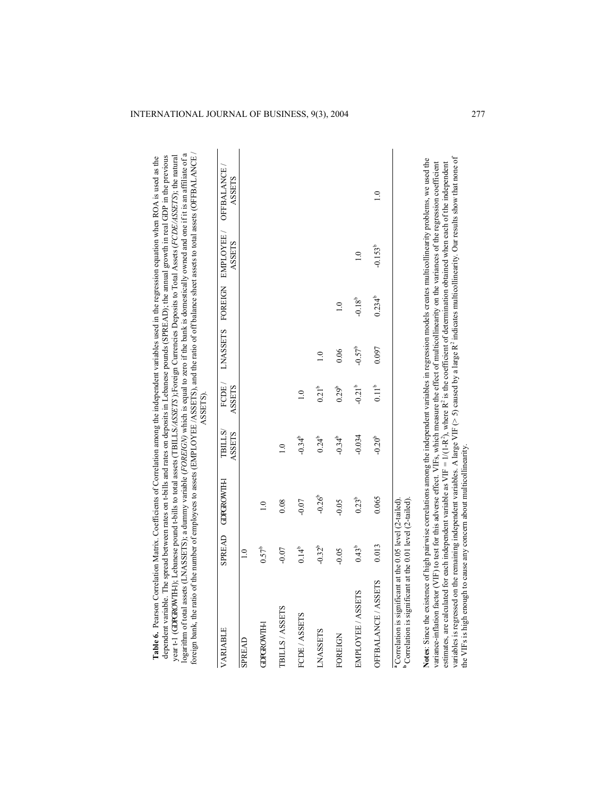| logarithm of total assets (LNASSETS); a dummy variable (FORE/GN) which is equal to zero if the bank is domestically owned and one if it is an affiliate of a<br>foreign bank, the ratio of the number of employees to assets (EMPLOYEE/ASSETS), and the ratio of off balance sheet assets to total assets (OFFBALANCE)<br>dependent variable. The spread between rates on t-bills and rates on deposits in Lebanese pounds (SPREAD); the annual growth in real GDP in the previous<br>year t-1 (GDPGROWTHI); Lebanese pound t-bills to total assets (TBILLS/ASSETS);Foreign Currencies Deposits to Total Assets (FCDE/ASSETS); the natural<br>Table 6. Pearson Correlation Matrix. Coefficients of Correlation among the independent variables used in the regression equation when ROA is used as the |                  |                   |                                | ASSETS).          |                  |                  |                                            |                                    |
|--------------------------------------------------------------------------------------------------------------------------------------------------------------------------------------------------------------------------------------------------------------------------------------------------------------------------------------------------------------------------------------------------------------------------------------------------------------------------------------------------------------------------------------------------------------------------------------------------------------------------------------------------------------------------------------------------------------------------------------------------------------------------------------------------------|------------------|-------------------|--------------------------------|-------------------|------------------|------------------|--------------------------------------------|------------------------------------|
| <b>VARIABLE</b>                                                                                                                                                                                                                                                                                                                                                                                                                                                                                                                                                                                                                                                                                                                                                                                        |                  | SPREAD GDPGROWTH- | <b>TBILLS</b><br><b>ASSETS</b> | FCDE/<br>ASSETS   |                  |                  | LNASSETS FOREIGN EMPLOYEE<br><b>ASSETS</b> | <b>OFFBALANCE</b><br><b>ASSETS</b> |
| <b>SPREAD</b>                                                                                                                                                                                                                                                                                                                                                                                                                                                                                                                                                                                                                                                                                                                                                                                          | $\overline{1.0}$ |                   |                                |                   |                  |                  |                                            |                                    |
| <b>GDPGROWTH-I</b>                                                                                                                                                                                                                                                                                                                                                                                                                                                                                                                                                                                                                                                                                                                                                                                     | $0.57^b$         |                   |                                |                   |                  |                  |                                            |                                    |
| TBILLS / ASSETS                                                                                                                                                                                                                                                                                                                                                                                                                                                                                                                                                                                                                                                                                                                                                                                        | $-0.07$          | 0.08              | $\overline{1.0}$               |                   |                  |                  |                                            |                                    |
| FCDE / ASSETS                                                                                                                                                                                                                                                                                                                                                                                                                                                                                                                                                                                                                                                                                                                                                                                          | $0.14^{b}$       | $-0.07$           | $-0.34^{b}$                    | $\frac{0}{1}$     |                  |                  |                                            |                                    |
| <b>LNASSETS</b>                                                                                                                                                                                                                                                                                                                                                                                                                                                                                                                                                                                                                                                                                                                                                                                        | $-0.32^{b}$      | $-0.26^{b}$       | $0.24^{b}$                     | $0.21^{b}$        | $\overline{1.0}$ |                  |                                            |                                    |
| FOREIGN                                                                                                                                                                                                                                                                                                                                                                                                                                                                                                                                                                                                                                                                                                                                                                                                | $-0.05$          | $-0.05$           | $-0.34^{b}$                    | 0.29 <sup>b</sup> | 0.06             | $\overline{1.0}$ |                                            |                                    |
| EMPLOYEE / ASSETS                                                                                                                                                                                                                                                                                                                                                                                                                                                                                                                                                                                                                                                                                                                                                                                      | $0.43^{b}$       | $0.23^{b}$        | $-0.034$                       | $-0.21^{b}$       | $-0.57^{b}$      | $-0.18^{b}$      | 1.0                                        |                                    |
| OFFBALANCE / ASSETS                                                                                                                                                                                                                                                                                                                                                                                                                                                                                                                                                                                                                                                                                                                                                                                    | 0.013            | 0.065             | $-0.20^{b}$                    | 0.11 <sup>b</sup> | 0.097            | $0.234^{b}$      | $-0.153^{b}$                               | $\frac{0}{1}$                      |
| <sup>b</sup> Correlation is significant at the 0.01 level (2-tailed).<br><sup>a</sup> Correlation is significant at the 0.05 level (2-tailed).                                                                                                                                                                                                                                                                                                                                                                                                                                                                                                                                                                                                                                                         |                  |                   |                                |                   |                  |                  |                                            |                                    |
| Notes: Since the existence of high pairwise correlations among the independent variables in regression models creates multicollinearity problems, we used the<br>variance-inflation factor (VIF) to test for this adverse effect. VIFs, which measure the effect of multicollinearity on the variances of the regression coefficient                                                                                                                                                                                                                                                                                                                                                                                                                                                                   |                  |                   |                                |                   |                  |                  |                                            |                                    |

valuates material material (variable as VIF = 1/(1-R<sup>)</sup>, where R<sup>2</sup> is the coefficient of determination obtained when each of the independent variables. A large VIF (>5) caused by a large R<sup>2</sup> indicates multicollinearity. variables is regressed on the remaining independent variables. A large VIF (> 5) caused by a large R<sup>2</sup> indicates multicollinearity. Our results show that none of variance-inflation factor (VIF) to test for this adverse effect. VIFs, which measure the effect of multicollinearity on the variances of the regression coefficient estimates, are calculated for each independent variable as VIF =  $1/(1-R^2)$ , where  $R^2$  is the coefficient of determination obtained when each of the independent the VIFs is high enough to cause any concern about multicollinearity.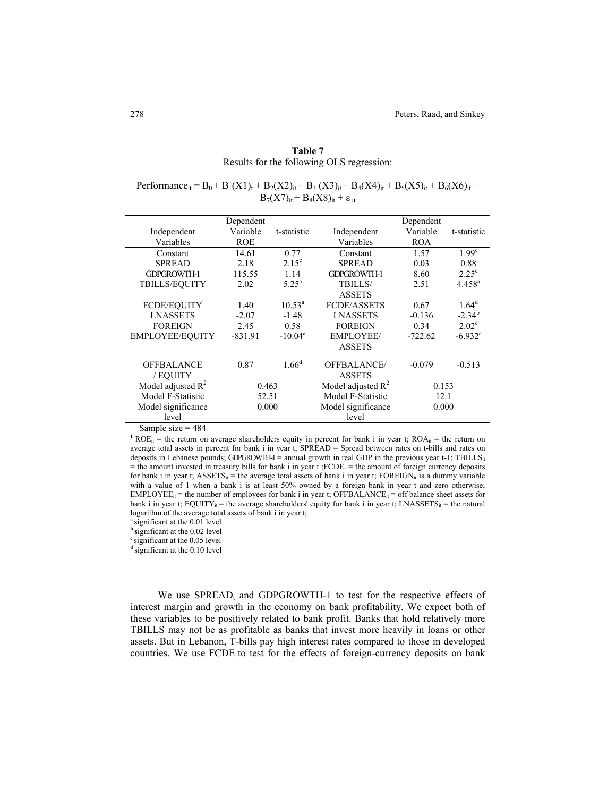|                                           |  | Table 7 |  |  |
|-------------------------------------------|--|---------|--|--|
| Results for the following OLS regression: |  |         |  |  |

Performance<sub>it</sub> = B<sub>0</sub> + B<sub>1</sub>(X1)<sub>t</sub> + B<sub>2</sub>(X2)<sub>it</sub> + B<sub>3</sub> (X3)<sub>it</sub> + B<sub>4</sub>(X4)<sub>it</sub> + B<sub>5</sub>(X5)<sub>it</sub> + B<sub>6</sub>(X6)<sub>it</sub> +  $B_7(X7)_{it} + B_8(X8)_{it} + \varepsilon_{it}$ 

|                      | Dependent  |                    |                      | Dependent  |                       |
|----------------------|------------|--------------------|----------------------|------------|-----------------------|
| Independent          | Variable   | t-statistic        | Independent          | Variable   | t-statistic           |
| Variables            | <b>ROE</b> |                    | Variables            | <b>ROA</b> |                       |
| Constant             | 14.61      | 0.77               | Constant             | 1.57       | 1.99 <sup>c</sup>     |
| <b>SPREAD</b>        | 2.18       | $2.15^{\circ}$     | <b>SPREAD</b>        | 0.03       | 0.88                  |
| <b>GDPGROWTH-1</b>   | 115.55     | 1.14               | <b>GDPGROWTH-1</b>   | 8.60       | $2.25^{\circ}$        |
| <b>TBILLS/EQUITY</b> | 2.02       | $5.25^{\rm a}$     | TBILLS/              | 2.51       | $4.458^{a}$           |
|                      |            |                    | <b>ASSETS</b>        |            |                       |
| FCDE/EQUITY          | 1.40       | $10.53^{\text{a}}$ | <b>FCDE/ASSETS</b>   | 0.67       | $1.64^d$              |
| <b>LNASSETS</b>      | $-2.07$    | $-1.48$            | <b>LNASSETS</b>      | $-0.136$   | $-2.34^{b}$           |
| <b>FOREIGN</b>       | 2.45       | 0.58               | <b>FOREIGN</b>       | 0.34       | $2.02^{\circ}$        |
| EMPLOYEE/EQUITY      | $-831.91$  | $-10.04^a$         | <b>EMPLOYEE/</b>     | $-722.62$  | $-6.932$ <sup>a</sup> |
|                      |            |                    | <b>ASSETS</b>        |            |                       |
| <b>OFFBALANCE</b>    | 0.87       | 1.66 <sup>d</sup>  | <b>OFFBALANCE/</b>   | $-0.079$   | $-0.513$              |
| / EQUITY             |            |                    | <b>ASSETS</b>        |            |                       |
| Model adjusted $R^2$ | 0.463      |                    | Model adjusted $R^2$ | 0.153      |                       |
| Model F-Statistic    | 52.51      |                    | Model F-Statistic    | 12.1       |                       |
| Model significance   | 0.000      |                    | Model significance   | 0.000      |                       |
| level                |            |                    | level                |            |                       |
| Sample size = $484$  |            |                    |                      |            |                       |

<sup>1</sup> ROE<sub>it</sub> = the return on average shareholders equity in percent for bank i in year t; ROA<sub>it</sub> = the return on average total assets in percent for bank i in year t; SPREAD = Spread between rates on t-bills and rates on deposits in Lebanese pounds; GDPGROWTH-1 = annual growth in real GDP in the previous year t-1; TBILLS<sub>it</sub> = the amount invested in treasury bills for bank i in year  $t$  ;FCDE<sub>it</sub> = the amount of foreign currency deposits for bank i in year t; ASSETS<sub>it</sub> = the average total assets of bank i in year t; FOREIGN<sub>it</sub> is a dummy variable with a value of 1 when a bank i is at least 50% owned by a foreign bank in year t and zero otherwise;  $EMPLOYEE_{it}$  = the number of employees for bank i in year t; OFFBALANCE<sub>it</sub> = off balance sheet assets for bank i in year t; EQUITY<sub>it</sub> = the average shareholders' equity for bank i in year t; LNASSETS<sub>it</sub> = the natural logarithm of the average total assets of bank i in year t;

**<sup>a</sup>** significant at the 0.01 level

**b s**ignificant at the 0.02 level

<sup>c</sup> significant at the 0.05 level

<sup>d</sup> significant at the 0.10 level

We use  $SPREAD_t$  and GDPGROWTH-1 to test for the respective effects of interest margin and growth in the economy on bank profitability. We expect both of these variables to be positively related to bank profit. Banks that hold relatively more TBILLS may not be as profitable as banks that invest more heavily in loans or other assets. But in Lebanon, T-bills pay high interest rates compared to those in developed countries. We use FCDE to test for the effects of foreign-currency deposits on bank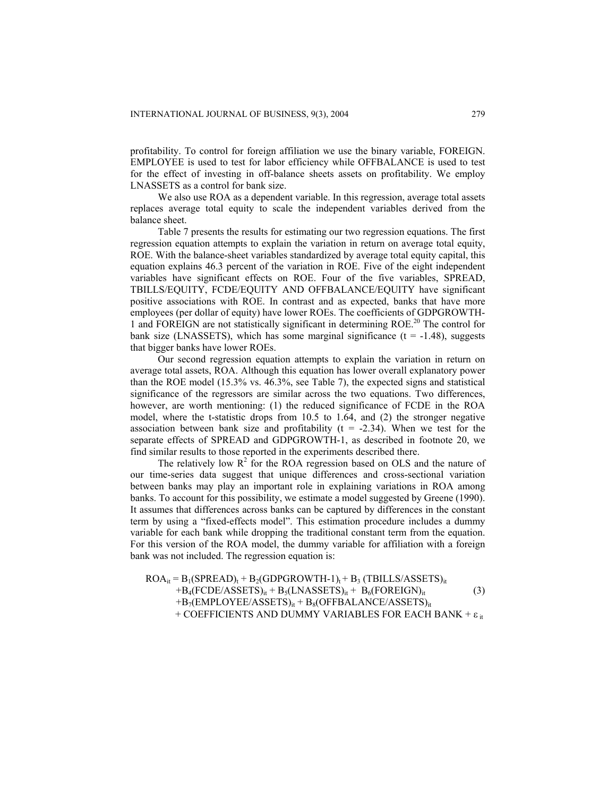profitability. To control for foreign affiliation we use the binary variable, FOREIGN. EMPLOYEE is used to test for labor efficiency while OFFBALANCE is used to test for the effect of investing in off-balance sheets assets on profitability. We employ LNASSETS as a control for bank size.

We also use ROA as a dependent variable. In this regression, average total assets replaces average total equity to scale the independent variables derived from the balance sheet.

Table 7 presents the results for estimating our two regression equations. The first regression equation attempts to explain the variation in return on average total equity, ROE. With the balance-sheet variables standardized by average total equity capital, this equation explains 46.3 percent of the variation in ROE. Five of the eight independent variables have significant effects on ROE. Four of the five variables, SPREAD, TBILLS/EQUITY, FCDE/EQUITY AND OFFBALANCE/EQUITY have significant positive associations with ROE. In contrast and as expected, banks that have more employees (per dollar of equity) have lower ROEs. The coefficients of GDPGROWTH-1 and FOREIGN are not statistically significant in determining ROE.<sup>20</sup> The control for bank size (LNASSETS), which has some marginal significance  $(t = -1.48)$ , suggests that bigger banks have lower ROEs.

Our second regression equation attempts to explain the variation in return on average total assets, ROA. Although this equation has lower overall explanatory power than the ROE model (15.3% vs. 46.3%, see Table 7), the expected signs and statistical significance of the regressors are similar across the two equations. Two differences, however, are worth mentioning: (1) the reduced significance of FCDE in the ROA model, where the t-statistic drops from 10.5 to 1.64, and (2) the stronger negative association between bank size and profitability  $(t = -2.34)$ . When we test for the separate effects of SPREAD and GDPGROWTH-1, as described in footnote 20, we find similar results to those reported in the experiments described there.

The relatively low  $R^2$  for the ROA regression based on OLS and the nature of our time-series data suggest that unique differences and cross-sectional variation between banks may play an important role in explaining variations in ROA among banks. To account for this possibility, we estimate a model suggested by Greene (1990). It assumes that differences across banks can be captured by differences in the constant term by using a "fixed-effects model". This estimation procedure includes a dummy variable for each bank while dropping the traditional constant term from the equation. For this version of the ROA model, the dummy variable for affiliation with a foreign bank was not included. The regression equation is:

 $ROA_{it} = B_1(SPREAD)_t + B_2(GDPGROWTH-1)_t + B_3 (TBILLS/ASSETS)_{it}$  $+B_4(FCDE/ASSETS)_{it} + B_5(LNASSETS)_{it} + B_6(FOREIGN)_{it}$  (3)  $+B_7(EMPLOYEE/ASSETS)_{it} + B_8(OFFBALANCE/ASSETS)_{it}$ + COEFFICIENTS AND DUMMY VARIABLES FOR EACH BANK +  $\varepsilon$ <sub>it</sub>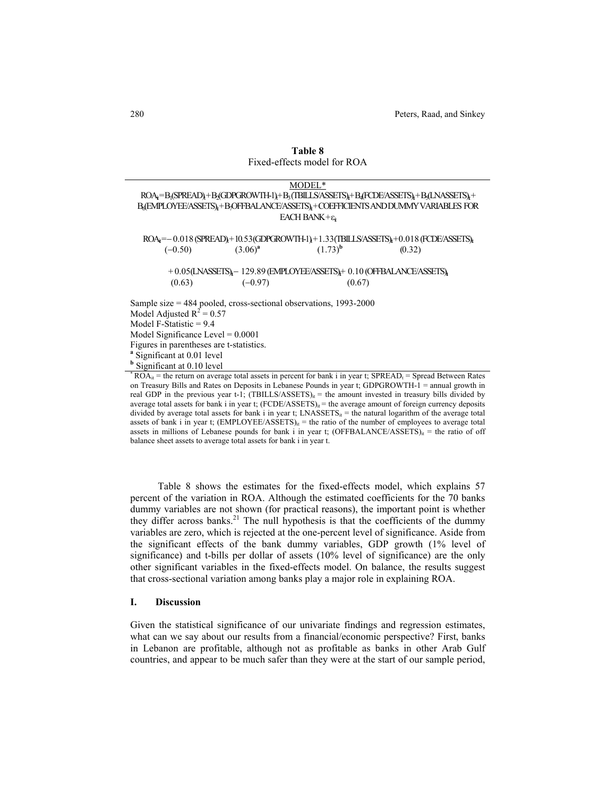|                                          |                                                                                                                 | MODEL*                     |                                                                                                             |  |  |  |
|------------------------------------------|-----------------------------------------------------------------------------------------------------------------|----------------------------|-------------------------------------------------------------------------------------------------------------|--|--|--|
|                                          |                                                                                                                 |                            | ROA;=B <sub>1</sub> (SPREAD)+B3(GDPGROWTH-1)+B3(TBILLS/ASSETS);+B <sub>4</sub> (FCDE/ASSETS);+B4LNASSETS);+ |  |  |  |
|                                          |                                                                                                                 |                            | B, (EMPLOYEE/ASSETS), +B, OFFBALANCE/ASSETS), +COEFFICIENTS AND DUMMY VARIABLES FOR                         |  |  |  |
|                                          |                                                                                                                 | EACH BANK+ $\varepsilon_i$ |                                                                                                             |  |  |  |
|                                          |                                                                                                                 |                            |                                                                                                             |  |  |  |
|                                          |                                                                                                                 |                            | $ROA_i = -0.018$ (SPREAD) + 10.53 (GDPGROWITH-1) + 1.33 (TBILLS/ASSETS) + 0.018 (FCDE/ASSETS)               |  |  |  |
| $(-0.50)$                                | $(3.06)^{a}$                                                                                                    | $(1.73)^{b}$               | (0.32)                                                                                                      |  |  |  |
|                                          |                                                                                                                 |                            |                                                                                                             |  |  |  |
|                                          | $+0.05$ (LNASSETS) <sub>t</sub> – 129.89 (EMPLOYEE/ASSETS) <sub>t</sub> + 0.10 (OFFBALANCE/ASSETS) <sub>t</sub> |                            |                                                                                                             |  |  |  |
| $(-0.97)$<br>(0.63)<br>(0.67)            |                                                                                                                 |                            |                                                                                                             |  |  |  |
|                                          |                                                                                                                 |                            |                                                                                                             |  |  |  |
|                                          | Sample size $= 484$ pooled, cross-sectional observations, 1993-2000                                             |                            |                                                                                                             |  |  |  |
| Model Adjusted $R^2$ = 0.57              |                                                                                                                 |                            |                                                                                                             |  |  |  |
| Model F-Statistic $= 9.4$                |                                                                                                                 |                            |                                                                                                             |  |  |  |
| Model Significance Level $= 0.0001$      |                                                                                                                 |                            |                                                                                                             |  |  |  |
| Figures in parentheses are t-statistics. |                                                                                                                 |                            |                                                                                                             |  |  |  |
| <sup>a</sup> Significant at 0.01 level   |                                                                                                                 |                            |                                                                                                             |  |  |  |
| <sup>b</sup> Significant at 0.10 level   |                                                                                                                 |                            |                                                                                                             |  |  |  |
| $\mathbf{F} \cap \mathbf{O}$             |                                                                                                                 |                            | $\overline{a}$                                                                                              |  |  |  |

**Table 8**  Fixed-effects model for ROA

#### $ROA_{it}$  = the return on average total assets in percent for bank i in year t;  $SPREAD_t$  = Spread Between Rates on Treasury Bills and Rates on Deposits in Lebanese Pounds in year t; GDPGROWTH-1 = annual growth in real GDP in the previous year t-1; (TBILLS/ASSETS)<sub>it</sub> = the amount invested in treasury bills divided by average total assets for bank i in year t;  $(FCDE/ASSETS)_{it}$  = the average amount of foreign currency deposits divided by average total assets for bank i in year t;  $LNASSETS_{it}$  = the natural logarithm of the average total assets of bank i in year t;  $(EMPLOYEE/ASSETS)_{it}$  = the ratio of the number of employees to average total assets in millions of Lebanese pounds for bank i in year t; (OFFBALANCE/ASSETS) $it$  = the ratio of off balance sheet assets to average total assets for bank i in year t.

Table 8 shows the estimates for the fixed-effects model, which explains 57 percent of the variation in ROA. Although the estimated coefficients for the 70 banks dummy variables are not shown (for practical reasons), the important point is whether they differ across banks.<sup>21</sup> The null hypothesis is that the coefficients of the dummy variables are zero, which is rejected at the one-percent level of significance. Aside from the significant effects of the bank dummy variables, GDP growth (1% level of significance) and t-bills per dollar of assets (10% level of significance) are the only other significant variables in the fixed-effects model. On balance, the results suggest that cross-sectional variation among banks play a major role in explaining ROA.

#### **I. Discussion**

Given the statistical significance of our univariate findings and regression estimates, what can we say about our results from a financial/economic perspective? First, banks in Lebanon are profitable, although not as profitable as banks in other Arab Gulf countries, and appear to be much safer than they were at the start of our sample period,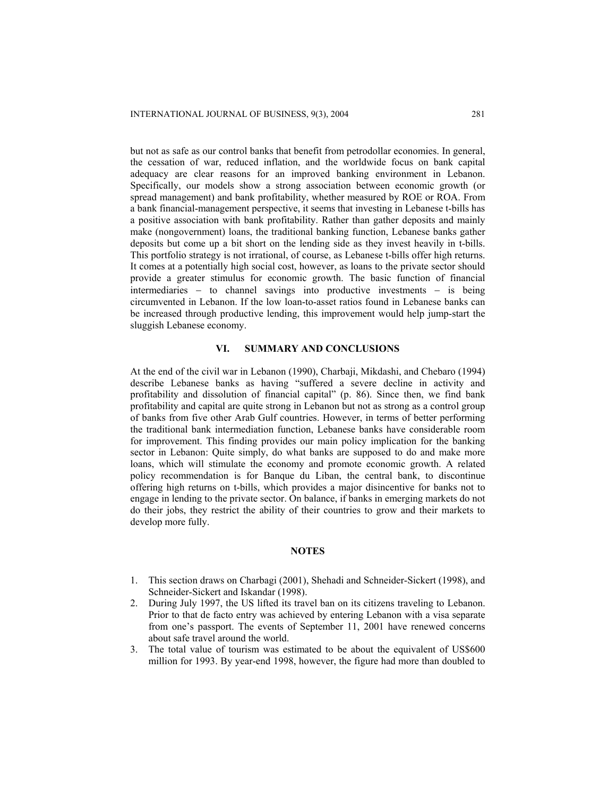but not as safe as our control banks that benefit from petrodollar economies. In general, the cessation of war, reduced inflation, and the worldwide focus on bank capital adequacy are clear reasons for an improved banking environment in Lebanon. Specifically, our models show a strong association between economic growth (or spread management) and bank profitability, whether measured by ROE or ROA. From a bank financial-management perspective, it seems that investing in Lebanese t-bills has a positive association with bank profitability. Rather than gather deposits and mainly make (nongovernment) loans, the traditional banking function, Lebanese banks gather deposits but come up a bit short on the lending side as they invest heavily in t-bills. This portfolio strategy is not irrational, of course, as Lebanese t-bills offer high returns. It comes at a potentially high social cost, however, as loans to the private sector should provide a greater stimulus for economic growth. The basic function of financial intermediaries − to channel savings into productive investments − is being circumvented in Lebanon. If the low loan-to-asset ratios found in Lebanese banks can be increased through productive lending, this improvement would help jump-start the sluggish Lebanese economy.

### **VI. SUMMARY AND CONCLUSIONS**

At the end of the civil war in Lebanon (1990), Charbaji, Mikdashi, and Chebaro (1994) describe Lebanese banks as having "suffered a severe decline in activity and profitability and dissolution of financial capital" (p. 86). Since then, we find bank profitability and capital are quite strong in Lebanon but not as strong as a control group of banks from five other Arab Gulf countries. However, in terms of better performing the traditional bank intermediation function, Lebanese banks have considerable room for improvement. This finding provides our main policy implication for the banking sector in Lebanon: Quite simply, do what banks are supposed to do and make more loans, which will stimulate the economy and promote economic growth. A related policy recommendation is for Banque du Liban, the central bank, to discontinue offering high returns on t-bills, which provides a major disincentive for banks not to engage in lending to the private sector. On balance, if banks in emerging markets do not do their jobs, they restrict the ability of their countries to grow and their markets to develop more fully.

#### **NOTES**

- 1. This section draws on Charbagi (2001), Shehadi and Schneider-Sickert (1998), and Schneider-Sickert and Iskandar (1998).
- 2. During July 1997, the US lifted its travel ban on its citizens traveling to Lebanon. Prior to that de facto entry was achieved by entering Lebanon with a visa separate from one's passport. The events of September 11, 2001 have renewed concerns about safe travel around the world.
- 3. The total value of tourism was estimated to be about the equivalent of US\$600 million for 1993. By year-end 1998, however, the figure had more than doubled to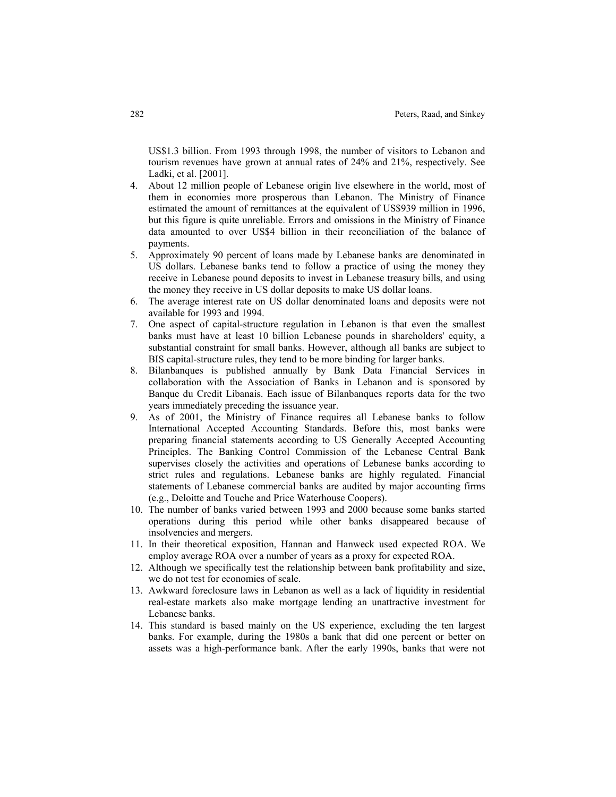US\$1.3 billion. From 1993 through 1998, the number of visitors to Lebanon and tourism revenues have grown at annual rates of 24% and 21%, respectively. See Ladki, et al. [2001].

- 4. About 12 million people of Lebanese origin live elsewhere in the world, most of them in economies more prosperous than Lebanon. The Ministry of Finance estimated the amount of remittances at the equivalent of US\$939 million in 1996, but this figure is quite unreliable. Errors and omissions in the Ministry of Finance data amounted to over US\$4 billion in their reconciliation of the balance of payments.
- 5. Approximately 90 percent of loans made by Lebanese banks are denominated in US dollars. Lebanese banks tend to follow a practice of using the money they receive in Lebanese pound deposits to invest in Lebanese treasury bills, and using the money they receive in US dollar deposits to make US dollar loans.
- 6. The average interest rate on US dollar denominated loans and deposits were not available for 1993 and 1994.
- 7. One aspect of capital-structure regulation in Lebanon is that even the smallest banks must have at least 10 billion Lebanese pounds in shareholders' equity, a substantial constraint for small banks. However, although all banks are subject to BIS capital-structure rules, they tend to be more binding for larger banks.
- 8. Bilanbanques is published annually by Bank Data Financial Services in collaboration with the Association of Banks in Lebanon and is sponsored by Banque du Credit Libanais. Each issue of Bilanbanques reports data for the two years immediately preceding the issuance year.
- 9. As of 2001, the Ministry of Finance requires all Lebanese banks to follow International Accepted Accounting Standards. Before this, most banks were preparing financial statements according to US Generally Accepted Accounting Principles. The Banking Control Commission of the Lebanese Central Bank supervises closely the activities and operations of Lebanese banks according to strict rules and regulations. Lebanese banks are highly regulated. Financial statements of Lebanese commercial banks are audited by major accounting firms (e.g., Deloitte and Touche and Price Waterhouse Coopers).
- 10. The number of banks varied between 1993 and 2000 because some banks started operations during this period while other banks disappeared because of insolvencies and mergers.
- 11. In their theoretical exposition, Hannan and Hanweck used expected ROA. We employ average ROA over a number of years as a proxy for expected ROA.
- 12. Although we specifically test the relationship between bank profitability and size, we do not test for economies of scale.
- 13. Awkward foreclosure laws in Lebanon as well as a lack of liquidity in residential real-estate markets also make mortgage lending an unattractive investment for Lebanese banks.
- 14. This standard is based mainly on the US experience, excluding the ten largest banks. For example, during the 1980s a bank that did one percent or better on assets was a high-performance bank. After the early 1990s, banks that were not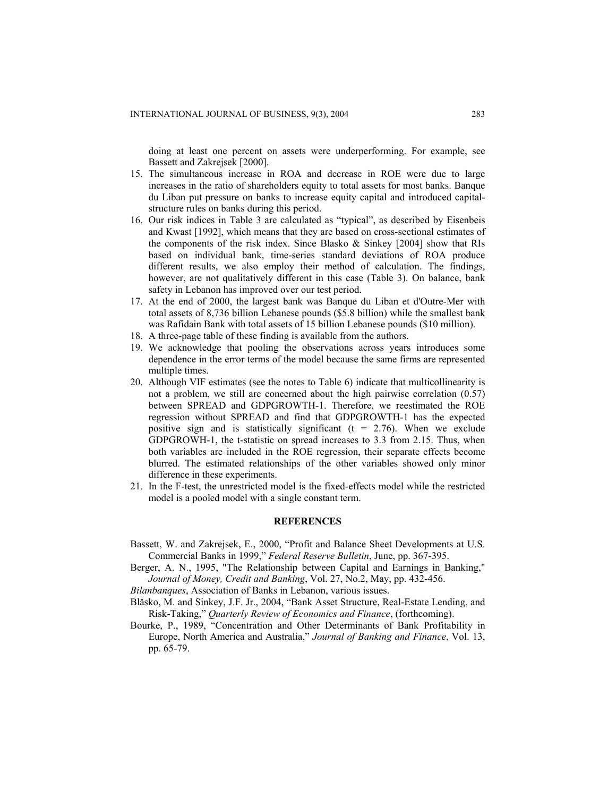doing at least one percent on assets were underperforming. For example, see Bassett and Zakrejsek [2000].

- 15. The simultaneous increase in ROA and decrease in ROE were due to large increases in the ratio of shareholders equity to total assets for most banks. Banque du Liban put pressure on banks to increase equity capital and introduced capitalstructure rules on banks during this period.
- 16. Our risk indices in Table 3 are calculated as "typical", as described by Eisenbeis and Kwast [1992], which means that they are based on cross-sectional estimates of the components of the risk index. Since Blasko & Sinkey [2004] show that RIs based on individual bank, time-series standard deviations of ROA produce different results, we also employ their method of calculation. The findings, however, are not qualitatively different in this case (Table 3). On balance, bank safety in Lebanon has improved over our test period.
- 17. At the end of 2000, the largest bank was Banque du Liban et d'Outre-Mer with total assets of 8,736 billion Lebanese pounds (\$5.8 billion) while the smallest bank was Rafidain Bank with total assets of 15 billion Lebanese pounds (\$10 million).
- 18. A three-page table of these finding is available from the authors.
- 19. We acknowledge that pooling the observations across years introduces some dependence in the error terms of the model because the same firms are represented multiple times.
- 20. Although VIF estimates (see the notes to Table 6) indicate that multicollinearity is not a problem, we still are concerned about the high pairwise correlation (0.57) between SPREAD and GDPGROWTH-1. Therefore, we reestimated the ROE regression without SPREAD and find that GDPGROWTH-1 has the expected positive sign and is statistically significant  $(t = 2.76)$ . When we exclude GDPGROWH-1, the t-statistic on spread increases to 3.3 from 2.15. Thus, when both variables are included in the ROE regression, their separate effects become blurred. The estimated relationships of the other variables showed only minor difference in these experiments.
- 21. In the F-test, the unrestricted model is the fixed-effects model while the restricted model is a pooled model with a single constant term.

#### **REFERENCES**

- Bassett, W. and Zakrejsek, E., 2000, "Profit and Balance Sheet Developments at U.S. Commercial Banks in 1999," *Federal Reserve Bulletin*, June, pp. 367-395.
- Berger, A. N., 1995, "The Relationship between Capital and Earnings in Banking," *Journal of Money, Credit and Banking*, Vol. 27, No.2, May, pp. 432-456.

*Bilanbanques*, Association of Banks in Lebanon, various issues.

- Blăsko, M. and Sinkey, J.F. Jr., 2004, "Bank Asset Structure, Real-Estate Lending, and Risk-Taking," *Quarterly Review of Economics and Finance*, (forthcoming).
- Bourke, P., 1989, "Concentration and Other Determinants of Bank Profitability in Europe, North America and Australia," *Journal of Banking and Finance*, Vol. 13, pp. 65-79.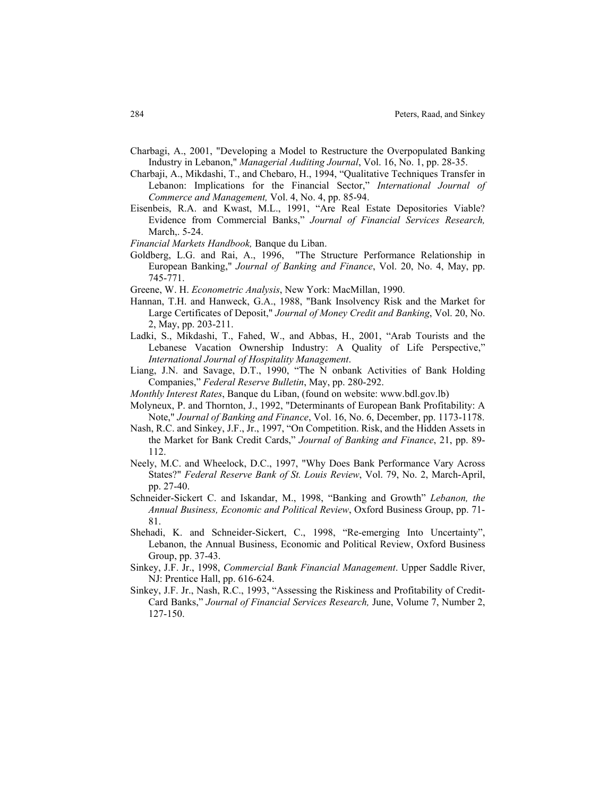- Charbagi, A., 2001, "Developing a Model to Restructure the Overpopulated Banking Industry in Lebanon," *Managerial Auditing Journal*, Vol. 16, No. 1, pp. 28-35.
- Charbaji, A., Mikdashi, T., and Chebaro, H., 1994, "Qualitative Techniques Transfer in Lebanon: Implications for the Financial Sector," *International Journal of Commerce and Management,* Vol. 4, No. 4, pp. 85-94.
- Eisenbeis, R.A. and Kwast, M.L., 1991, "Are Real Estate Depositories Viable? Evidence from Commercial Banks," *Journal of Financial Services Research,*  March,. 5-24.
- *Financial Markets Handbook,* Banque du Liban.
- Goldberg, L.G. and Rai, A., 1996, "The Structure Performance Relationship in European Banking," *Journal of Banking and Finance*, Vol. 20, No. 4, May, pp. 745-771.
- Greene, W. H. *Econometric Analysis*, New York: MacMillan, 1990.
- Hannan, T.H. and Hanweck, G.A., 1988, "Bank Insolvency Risk and the Market for Large Certificates of Deposit," *Journal of Money Credit and Banking*, Vol. 20, No. 2, May, pp. 203-211.
- Ladki, S., Mikdashi, T., Fahed, W., and Abbas, H., 2001, "Arab Tourists and the Lebanese Vacation Ownership Industry: A Quality of Life Perspective," *International Journal of Hospitality Management*.
- Liang, J.N. and Savage, D.T., 1990, "The N onbank Activities of Bank Holding Companies," *Federal Reserve Bulletin*, May, pp. 280-292.
- *Monthly Interest Rates*, Banque du Liban, (found on website: www.bdl.gov.lb)
- Molyneux, P. and Thornton, J., 1992, "Determinants of European Bank Profitability: A Note," *Journal of Banking and Finance*, Vol. 16, No. 6, December, pp. 1173-1178.
- Nash, R.C. and Sinkey, J.F., Jr., 1997, "On Competition. Risk, and the Hidden Assets in the Market for Bank Credit Cards," *Journal of Banking and Finance*, 21, pp. 89- 112.
- Neely, M.C. and Wheelock, D.C., 1997, "Why Does Bank Performance Vary Across States?" *Federal Reserve Bank of St. Louis Review*, Vol. 79, No. 2, March-April, pp. 27-40.
- Schneider-Sickert C. and Iskandar, M., 1998, "Banking and Growth" *Lebanon, the Annual Business, Economic and Political Review*, Oxford Business Group, pp. 71- 81.
- Shehadi, K. and Schneider-Sickert, C., 1998, "Re-emerging Into Uncertainty", Lebanon, the Annual Business, Economic and Political Review, Oxford Business Group, pp. 37-43.
- Sinkey, J.F. Jr., 1998, *Commercial Bank Financial Management*. Upper Saddle River, NJ: Prentice Hall, pp. 616-624.
- Sinkey, J.F. Jr., Nash, R.C., 1993, "Assessing the Riskiness and Profitability of Credit-Card Banks," *Journal of Financial Services Research,* June, Volume 7, Number 2, 127-150.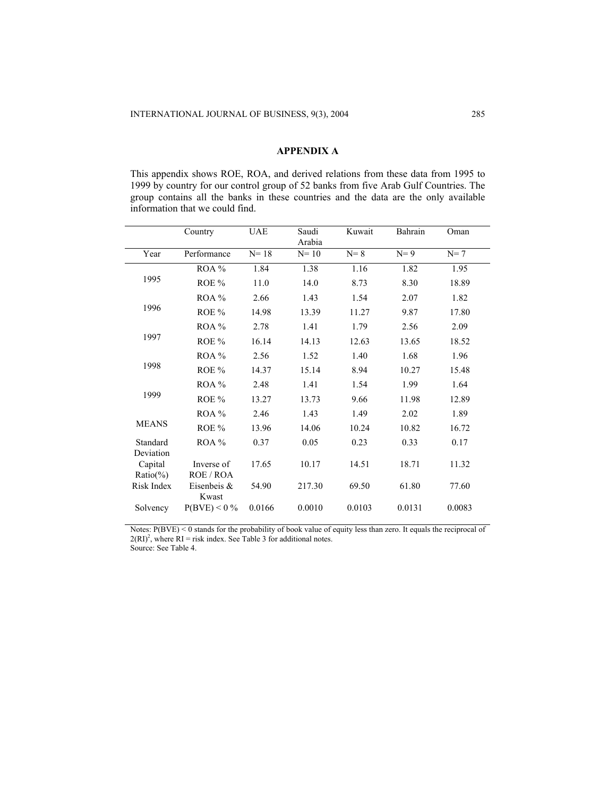## **APPENDIX A**

This appendix shows ROE, ROA, and derived relations from these data from 1995 to 1999 by country for our control group of 52 banks from five Arab Gulf Countries. The group contains all the banks in these countries and the data are the only available information that we could find.

|                         | Country                 | <b>UAE</b> | Saudi<br>Arabia | Kuwait  | Bahrain | Oman   |
|-------------------------|-------------------------|------------|-----------------|---------|---------|--------|
| Year                    | Performance             | $N=18$     | $N=10$          | $N = 8$ | $N=9$   | $N=7$  |
|                         | ROA %                   | 1.84       | 1.38            | 1.16    | 1.82    | 1.95   |
| 1995                    | ROE %                   | 11.0       | 14.0            | 8.73    | 8.30    | 18.89  |
|                         | ROA%                    | 2.66       | 1.43            | 1.54    | 2.07    | 1.82   |
| 1996                    | ROE%                    | 14.98      | 13.39           | 11.27   | 9.87    | 17.80  |
|                         | ROA%                    | 2.78       | 1.41            | 1.79    | 2.56    | 2.09   |
| 1997                    | ROE %                   | 16.14      | 14.13           | 12.63   | 13.65   | 18.52  |
|                         | ROA%                    | 2.56       | 1.52            | 1.40    | 1.68    | 1.96   |
| 1998                    | ROE %                   | 14.37      | 15.14           | 8.94    | 10.27   | 15.48  |
|                         | ROA%                    | 2.48       | 1.41            | 1.54    | 1.99    | 1.64   |
| 1999                    | ROE %                   | 13.27      | 13.73           | 9.66    | 11.98   | 12.89  |
|                         | ROA%                    | 2.46       | 1.43            | 1.49    | 2.02    | 1.89   |
| <b>MEANS</b>            | ROE %                   | 13.96      | 14.06           | 10.24   | 10.82   | 16.72  |
| Standard<br>Deviation   | ROA%                    | 0.37       | 0.05            | 0.23    | 0.33    | 0.17   |
| Capital<br>$Ratio(\% )$ | Inverse of<br>ROE / ROA | 17.65      | 10.17           | 14.51   | 18.71   | 11.32  |
| Risk Index              | Eisenbeis &<br>Kwast    | 54.90      | 217.30          | 69.50   | 61.80   | 77.60  |
| Solvency                | $P(BVE) < 0$ %          | 0.0166     | 0.0010          | 0.0103  | 0.0131  | 0.0083 |

Notes: P(BVE) < 0 stands for the probability of book value of equity less than zero. It equals the reciprocal of  $2(RI)^2$ , where RI = risk index. See Table 3 for additional notes.

Source: See Table 4.